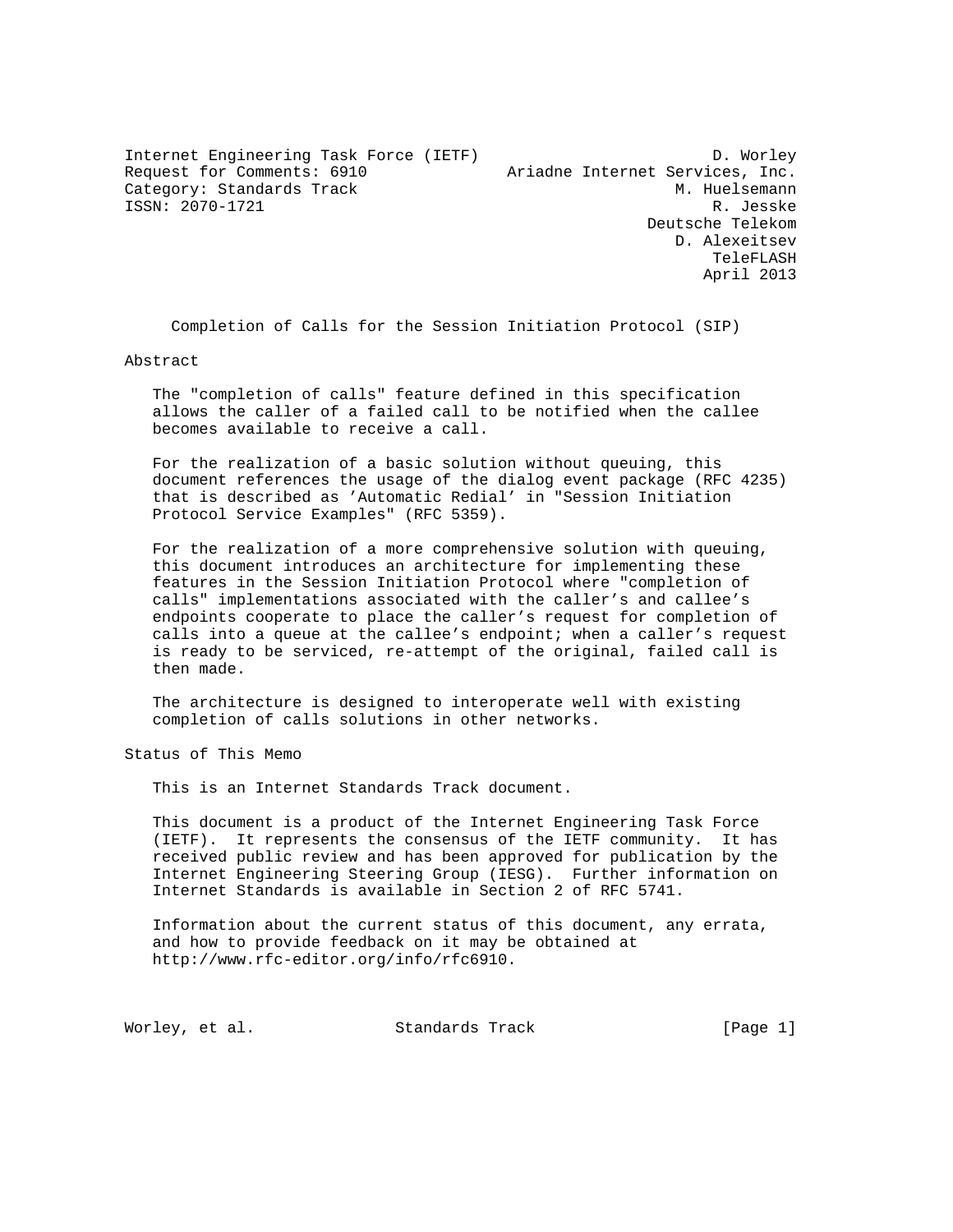Internet Engineering Task Force (IETF) D. Worley Request for Comments: 6910 Ariadne Internet Services, Inc. Category: Standards Track M. Huelsemann ISSN: 2070-1721 R. Jesske Deutsche Telekom D. Alexeitsev TeleFLASH April 2013

Completion of Calls for the Session Initiation Protocol (SIP)

Abstract

 The "completion of calls" feature defined in this specification allows the caller of a failed call to be notified when the callee becomes available to receive a call.

 For the realization of a basic solution without queuing, this document references the usage of the dialog event package (RFC 4235) that is described as 'Automatic Redial' in "Session Initiation Protocol Service Examples" (RFC 5359).

 For the realization of a more comprehensive solution with queuing, this document introduces an architecture for implementing these features in the Session Initiation Protocol where "completion of calls" implementations associated with the caller's and callee's endpoints cooperate to place the caller's request for completion of calls into a queue at the callee's endpoint; when a caller's request is ready to be serviced, re-attempt of the original, failed call is then made.

 The architecture is designed to interoperate well with existing completion of calls solutions in other networks.

Status of This Memo

This is an Internet Standards Track document.

 This document is a product of the Internet Engineering Task Force (IETF). It represents the consensus of the IETF community. It has received public review and has been approved for publication by the Internet Engineering Steering Group (IESG). Further information on Internet Standards is available in Section 2 of RFC 5741.

 Information about the current status of this document, any errata, and how to provide feedback on it may be obtained at http://www.rfc-editor.org/info/rfc6910.

Worley, et al. Standards Track [Page 1]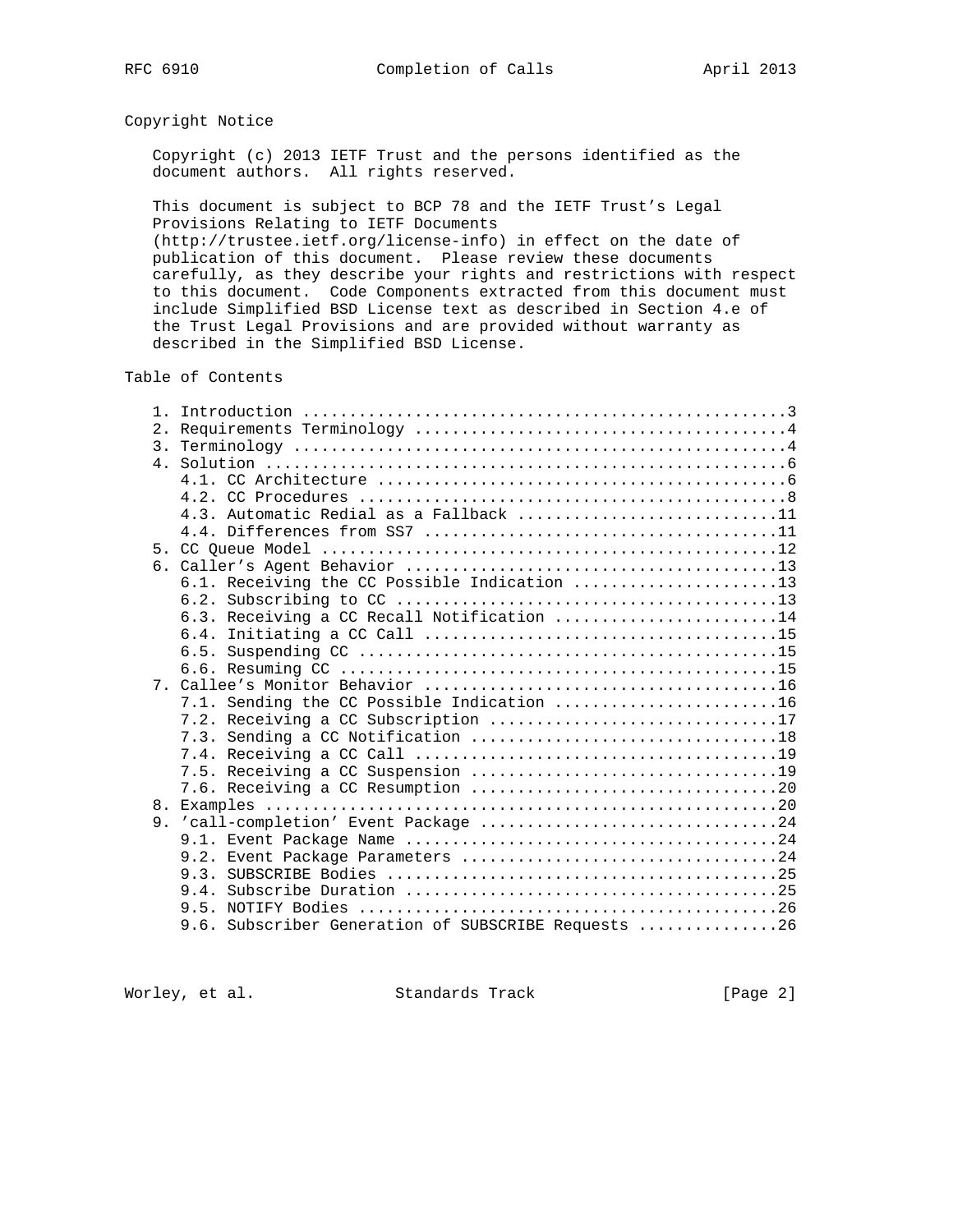# Copyright Notice

 Copyright (c) 2013 IETF Trust and the persons identified as the document authors. All rights reserved.

 This document is subject to BCP 78 and the IETF Trust's Legal Provisions Relating to IETF Documents

 (http://trustee.ietf.org/license-info) in effect on the date of publication of this document. Please review these documents carefully, as they describe your rights and restrictions with respect to this document. Code Components extracted from this document must include Simplified BSD License text as described in Section 4.e of the Trust Legal Provisions and are provided without warranty as described in the Simplified BSD License.

## Table of Contents

|  | 4.3. Automatic Redial as a Fallback 11              |  |
|--|-----------------------------------------------------|--|
|  |                                                     |  |
|  |                                                     |  |
|  |                                                     |  |
|  | 6.1. Receiving the CC Possible Indication 13        |  |
|  |                                                     |  |
|  | 6.3. Receiving a CC Recall Notification 14          |  |
|  |                                                     |  |
|  |                                                     |  |
|  |                                                     |  |
|  |                                                     |  |
|  | 7.1. Sending the CC Possible Indication 16          |  |
|  | 7.2. Receiving a CC Subscription 17                 |  |
|  |                                                     |  |
|  |                                                     |  |
|  |                                                     |  |
|  |                                                     |  |
|  |                                                     |  |
|  | 9. 'call-completion' Event Package 24               |  |
|  |                                                     |  |
|  | 9.2. Event Package Parameters 24                    |  |
|  |                                                     |  |
|  |                                                     |  |
|  |                                                     |  |
|  | 9.6. Subscriber Generation of SUBSCRIBE Requests 26 |  |

Worley, et al. Standards Track [Page 2]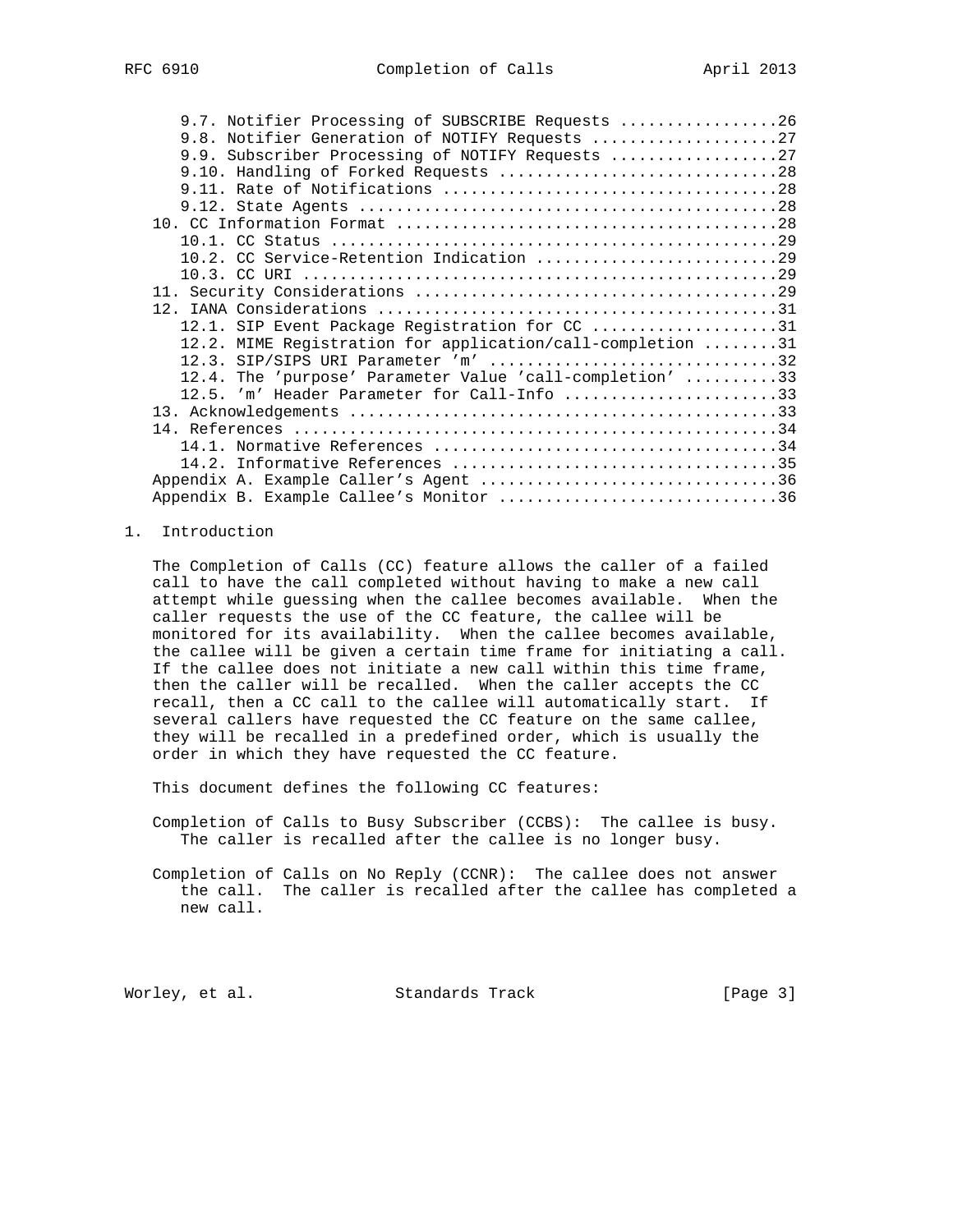| 9.7. Notifier Processing of SUBSCRIBE Requests 26          |
|------------------------------------------------------------|
| 9.8. Notifier Generation of NOTIFY Requests 27             |
| 9.9. Subscriber Processing of NOTIFY Requests 27           |
| 9.10. Handling of Forked Requests 28                       |
|                                                            |
|                                                            |
|                                                            |
|                                                            |
| 10.2. CC Service-Retention Indication 29                   |
|                                                            |
|                                                            |
|                                                            |
| 12.1. SIP Event Package Registration for CC 31             |
| 12.2. MIME Registration for application/call-completion 31 |
| 12.3. SIP/SIPS URI Parameter 'm' 32                        |
| 12.4. The 'purpose' Parameter Value 'call-completion' 33   |
| 12.5. 'm' Header Parameter for Call-Info 33                |
|                                                            |
|                                                            |
|                                                            |
|                                                            |
| Appendix A. Example Caller's Agent 36                      |
| Appendix B. Example Callee's Monitor 36                    |

# 1. Introduction

 The Completion of Calls (CC) feature allows the caller of a failed call to have the call completed without having to make a new call attempt while guessing when the callee becomes available. When the caller requests the use of the CC feature, the callee will be monitored for its availability. When the callee becomes available, the callee will be given a certain time frame for initiating a call. If the callee does not initiate a new call within this time frame, then the caller will be recalled. When the caller accepts the CC recall, then a CC call to the callee will automatically start. If several callers have requested the CC feature on the same callee, they will be recalled in a predefined order, which is usually the order in which they have requested the CC feature.

This document defines the following CC features:

- Completion of Calls to Busy Subscriber (CCBS): The callee is busy. The caller is recalled after the callee is no longer busy.
- Completion of Calls on No Reply (CCNR): The callee does not answer the call. The caller is recalled after the callee has completed a new call.

Worley, et al. Standards Track [Page 3]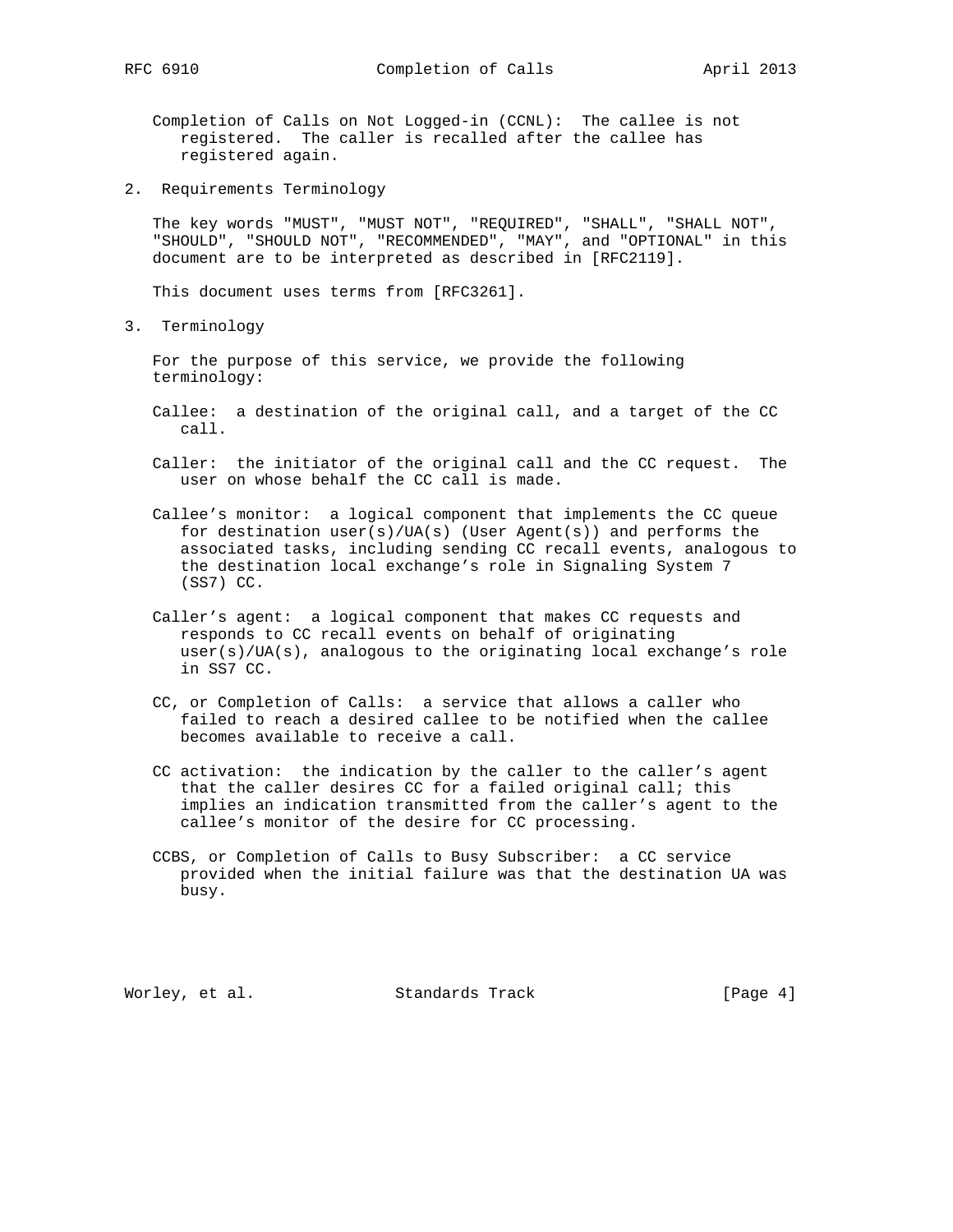Completion of Calls on Not Logged-in (CCNL): The callee is not registered. The caller is recalled after the callee has registered again.

2. Requirements Terminology

 The key words "MUST", "MUST NOT", "REQUIRED", "SHALL", "SHALL NOT", "SHOULD", "SHOULD NOT", "RECOMMENDED", "MAY", and "OPTIONAL" in this document are to be interpreted as described in [RFC2119].

This document uses terms from [RFC3261].

3. Terminology

 For the purpose of this service, we provide the following terminology:

- Callee: a destination of the original call, and a target of the CC call.
- Caller: the initiator of the original call and the CC request. The user on whose behalf the CC call is made.
- Callee's monitor: a logical component that implements the CC queue for destination user(s)/UA(s) (User Agent(s)) and performs the associated tasks, including sending CC recall events, analogous to the destination local exchange's role in Signaling System 7 (SS7) CC.
- Caller's agent: a logical component that makes CC requests and responds to CC recall events on behalf of originating user(s)/UA(s), analogous to the originating local exchange's role in SS7 CC.
- CC, or Completion of Calls: a service that allows a caller who failed to reach a desired callee to be notified when the callee becomes available to receive a call.
- CC activation: the indication by the caller to the caller's agent that the caller desires CC for a failed original call; this implies an indication transmitted from the caller's agent to the callee's monitor of the desire for CC processing.
- CCBS, or Completion of Calls to Busy Subscriber: a CC service provided when the initial failure was that the destination UA was busy.

Worley, et al. Standards Track [Page 4]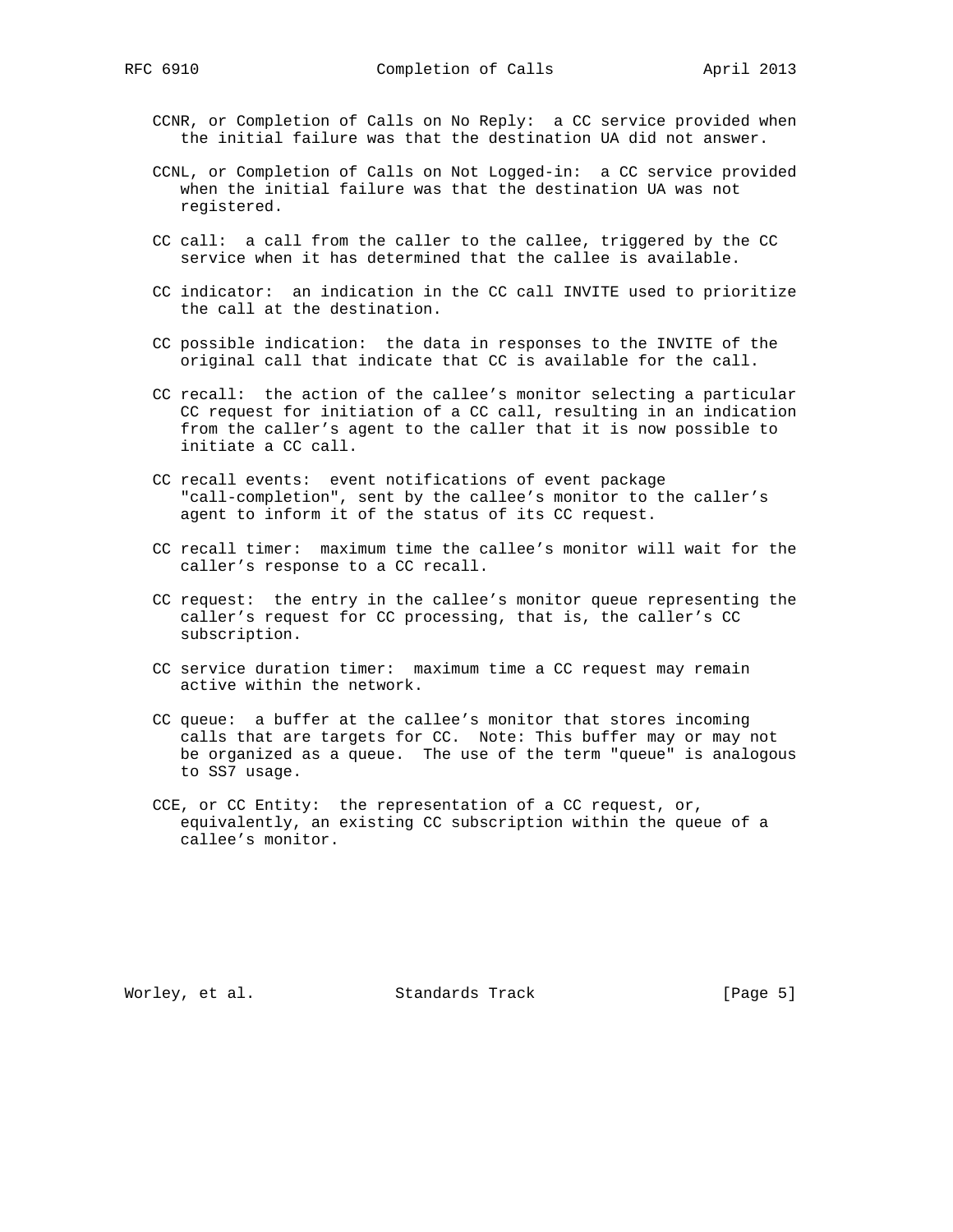- CCNR, or Completion of Calls on No Reply: a CC service provided when the initial failure was that the destination UA did not answer.
- CCNL, or Completion of Calls on Not Logged-in: a CC service provided when the initial failure was that the destination UA was not registered.
- CC call: a call from the caller to the callee, triggered by the CC service when it has determined that the callee is available.
- CC indicator: an indication in the CC call INVITE used to prioritize the call at the destination.
- CC possible indication: the data in responses to the INVITE of the original call that indicate that CC is available for the call.
- CC recall: the action of the callee's monitor selecting a particular CC request for initiation of a CC call, resulting in an indication from the caller's agent to the caller that it is now possible to initiate a CC call.
- CC recall events: event notifications of event package "call-completion", sent by the callee's monitor to the caller's agent to inform it of the status of its CC request.
- CC recall timer: maximum time the callee's monitor will wait for the caller's response to a CC recall.
- CC request: the entry in the callee's monitor queue representing the caller's request for CC processing, that is, the caller's CC subscription.
- CC service duration timer: maximum time a CC request may remain active within the network.
- CC queue: a buffer at the callee's monitor that stores incoming calls that are targets for CC. Note: This buffer may or may not be organized as a queue. The use of the term "queue" is analogous to SS7 usage.
- CCE, or CC Entity: the representation of a CC request, or, equivalently, an existing CC subscription within the queue of a callee's monitor.

Worley, et al. Standards Track [Page 5]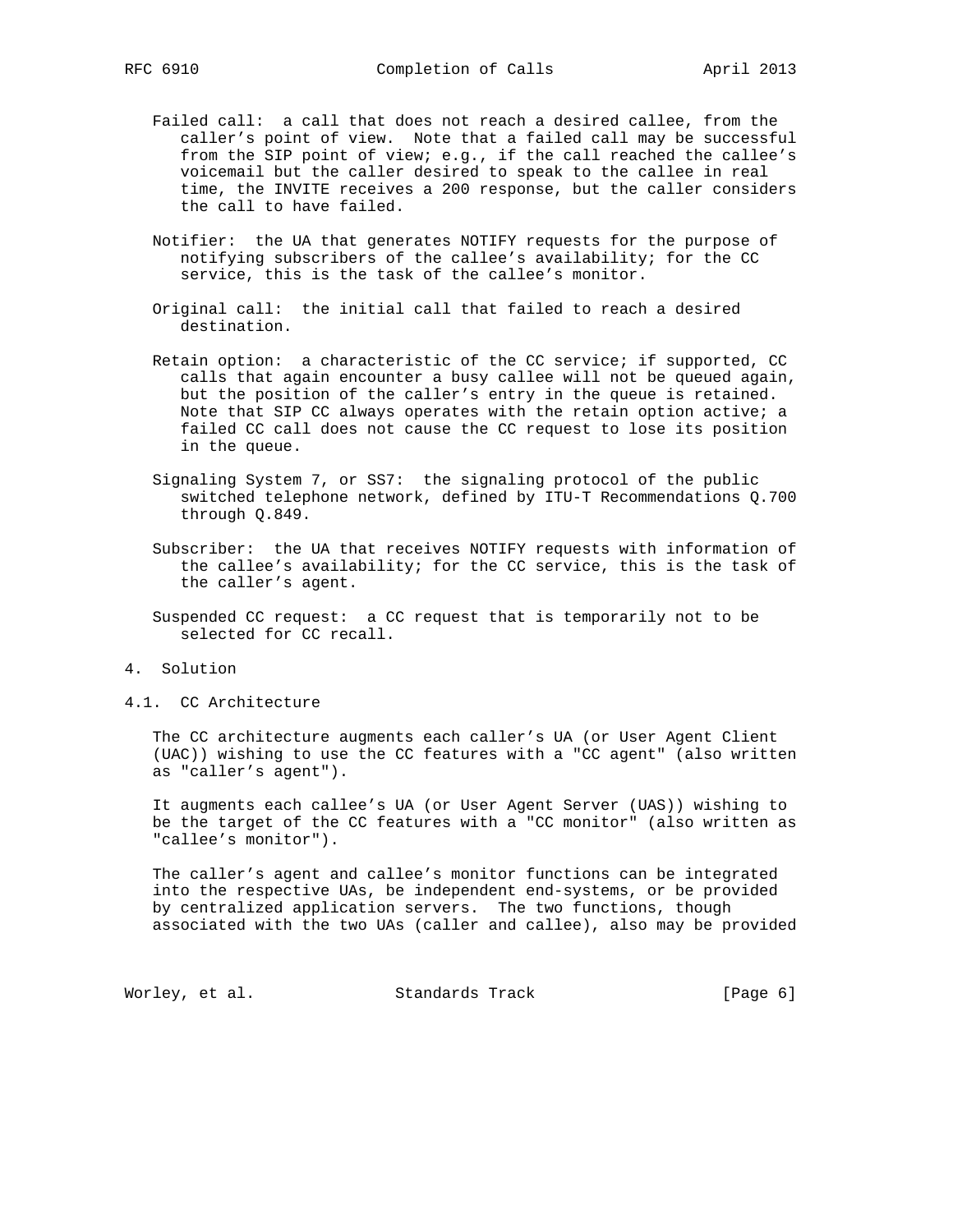- Failed call: a call that does not reach a desired callee, from the caller's point of view. Note that a failed call may be successful from the SIP point of view; e.g., if the call reached the callee's voicemail but the caller desired to speak to the callee in real time, the INVITE receives a 200 response, but the caller considers the call to have failed.
- Notifier: the UA that generates NOTIFY requests for the purpose of notifying subscribers of the callee's availability; for the CC service, this is the task of the callee's monitor.
- Original call: the initial call that failed to reach a desired destination.
- Retain option: a characteristic of the CC service; if supported, CC calls that again encounter a busy callee will not be queued again, but the position of the caller's entry in the queue is retained. Note that SIP CC always operates with the retain option active; a failed CC call does not cause the CC request to lose its position in the queue.
- Signaling System 7, or SS7: the signaling protocol of the public switched telephone network, defined by ITU-T Recommendations Q.700 through Q.849.
- Subscriber: the UA that receives NOTIFY requests with information of the callee's availability; for the CC service, this is the task of the caller's agent.
- Suspended CC request: a CC request that is temporarily not to be selected for CC recall.
- 4. Solution
- 4.1. CC Architecture

 The CC architecture augments each caller's UA (or User Agent Client (UAC)) wishing to use the CC features with a "CC agent" (also written as "caller's agent").

 It augments each callee's UA (or User Agent Server (UAS)) wishing to be the target of the CC features with a "CC monitor" (also written as "callee's monitor").

 The caller's agent and callee's monitor functions can be integrated into the respective UAs, be independent end-systems, or be provided by centralized application servers. The two functions, though associated with the two UAs (caller and callee), also may be provided

Worley, et al. Standards Track [Page 6]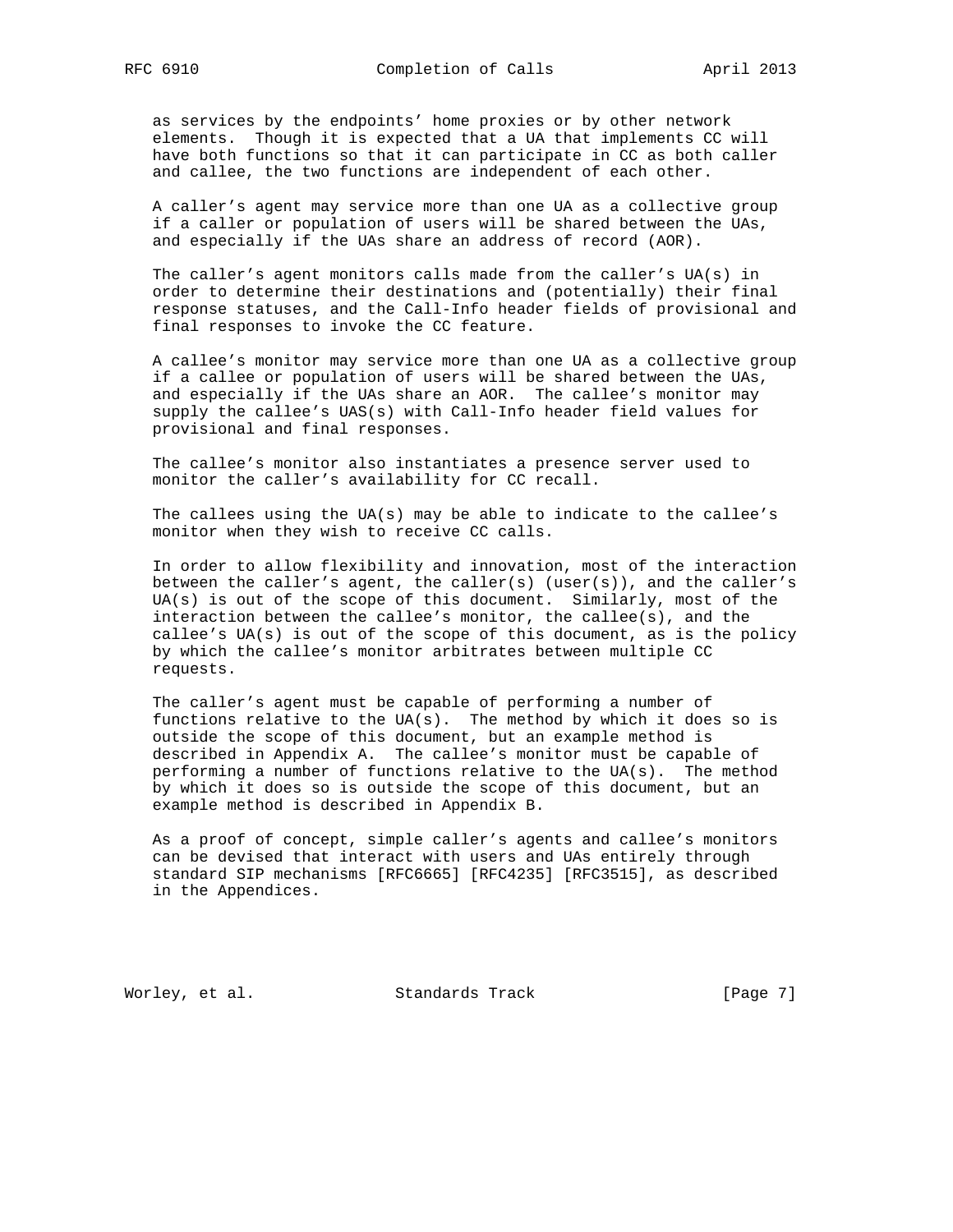as services by the endpoints' home proxies or by other network elements. Though it is expected that a UA that implements CC will have both functions so that it can participate in CC as both caller and callee, the two functions are independent of each other.

 A caller's agent may service more than one UA as a collective group if a caller or population of users will be shared between the UAs, and especially if the UAs share an address of record (AOR).

 The caller's agent monitors calls made from the caller's UA(s) in order to determine their destinations and (potentially) their final response statuses, and the Call-Info header fields of provisional and final responses to invoke the CC feature.

 A callee's monitor may service more than one UA as a collective group if a callee or population of users will be shared between the UAs, and especially if the UAs share an AOR. The callee's monitor may supply the callee's UAS(s) with Call-Info header field values for provisional and final responses.

 The callee's monitor also instantiates a presence server used to monitor the caller's availability for CC recall.

The callees using the UA(s) may be able to indicate to the callee's monitor when they wish to receive CC calls.

 In order to allow flexibility and innovation, most of the interaction between the caller's agent, the caller(s) (user(s)), and the caller's UA(s) is out of the scope of this document. Similarly, most of the interaction between the callee's monitor, the callee(s), and the callee's UA(s) is out of the scope of this document, as is the policy by which the callee's monitor arbitrates between multiple CC requests.

 The caller's agent must be capable of performing a number of functions relative to the UA(s). The method by which it does so is outside the scope of this document, but an example method is described in Appendix A. The callee's monitor must be capable of performing a number of functions relative to the UA(s). The method by which it does so is outside the scope of this document, but an example method is described in Appendix B.

 As a proof of concept, simple caller's agents and callee's monitors can be devised that interact with users and UAs entirely through standard SIP mechanisms [RFC6665] [RFC4235] [RFC3515], as described in the Appendices.

Worley, et al. Standards Track [Page 7]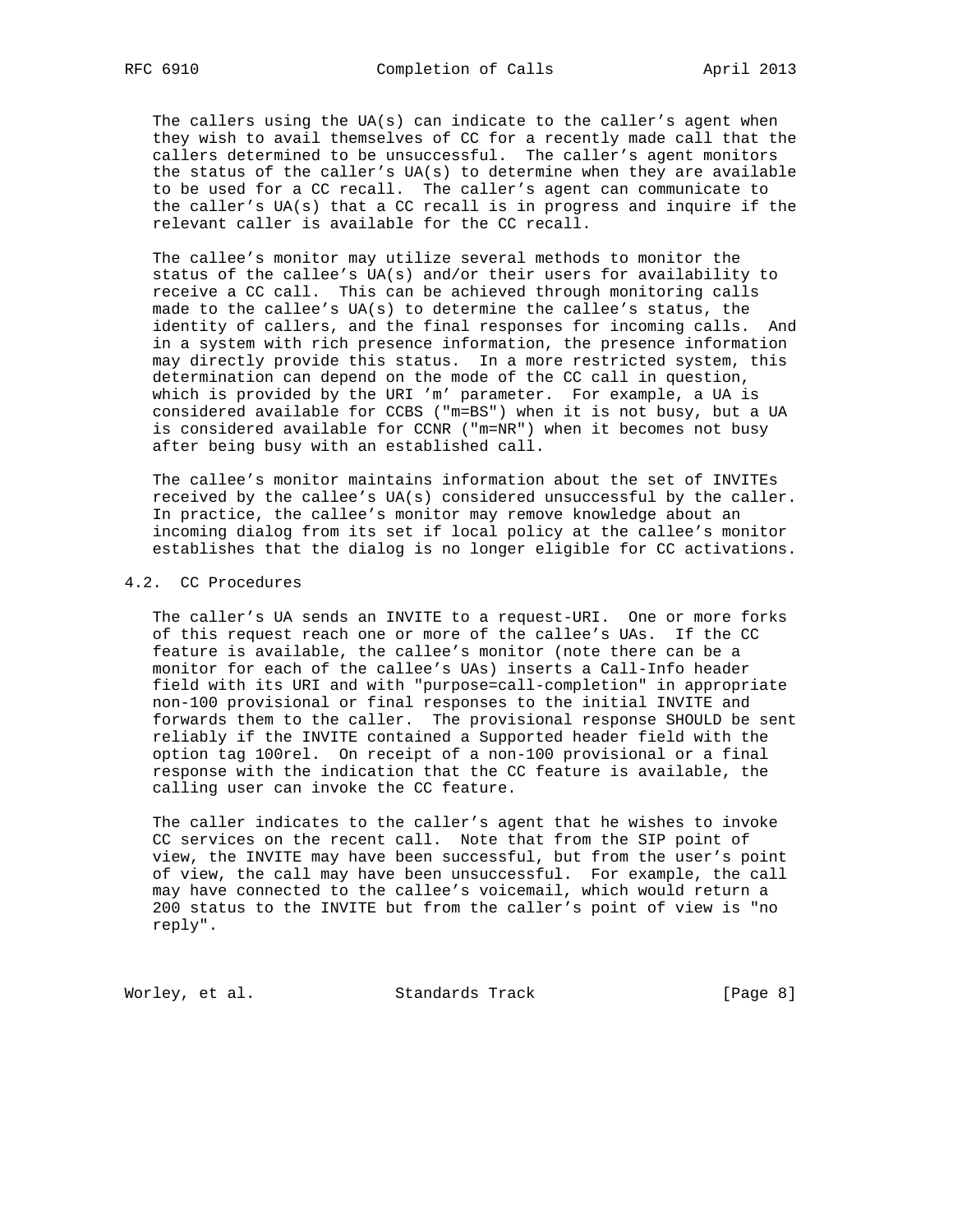The callers using the UA(s) can indicate to the caller's agent when they wish to avail themselves of CC for a recently made call that the callers determined to be unsuccessful. The caller's agent monitors the status of the caller's  $UA(s)$  to determine when they are available to be used for a CC recall. The caller's agent can communicate to the caller's UA(s) that a CC recall is in progress and inquire if the relevant caller is available for the CC recall.

 The callee's monitor may utilize several methods to monitor the status of the callee's UA(s) and/or their users for availability to receive a CC call. This can be achieved through monitoring calls made to the callee's UA(s) to determine the callee's status, the identity of callers, and the final responses for incoming calls. And in a system with rich presence information, the presence information may directly provide this status. In a more restricted system, this determination can depend on the mode of the CC call in question, which is provided by the URI 'm' parameter. For example, a UA is considered available for CCBS ("m=BS") when it is not busy, but a UA is considered available for CCNR ("m=NR") when it becomes not busy after being busy with an established call.

 The callee's monitor maintains information about the set of INVITEs received by the callee's UA(s) considered unsuccessful by the caller. In practice, the callee's monitor may remove knowledge about an incoming dialog from its set if local policy at the callee's monitor establishes that the dialog is no longer eligible for CC activations.

### 4.2. CC Procedures

 The caller's UA sends an INVITE to a request-URI. One or more forks of this request reach one or more of the callee's UAs. If the CC feature is available, the callee's monitor (note there can be a monitor for each of the callee's UAs) inserts a Call-Info header field with its URI and with "purpose=call-completion" in appropriate non-100 provisional or final responses to the initial INVITE and forwards them to the caller. The provisional response SHOULD be sent reliably if the INVITE contained a Supported header field with the option tag 100rel. On receipt of a non-100 provisional or a final response with the indication that the CC feature is available, the calling user can invoke the CC feature.

 The caller indicates to the caller's agent that he wishes to invoke CC services on the recent call. Note that from the SIP point of view, the INVITE may have been successful, but from the user's point of view, the call may have been unsuccessful. For example, the call may have connected to the callee's voicemail, which would return a 200 status to the INVITE but from the caller's point of view is "no reply".

Worley, et al. Standards Track [Page 8]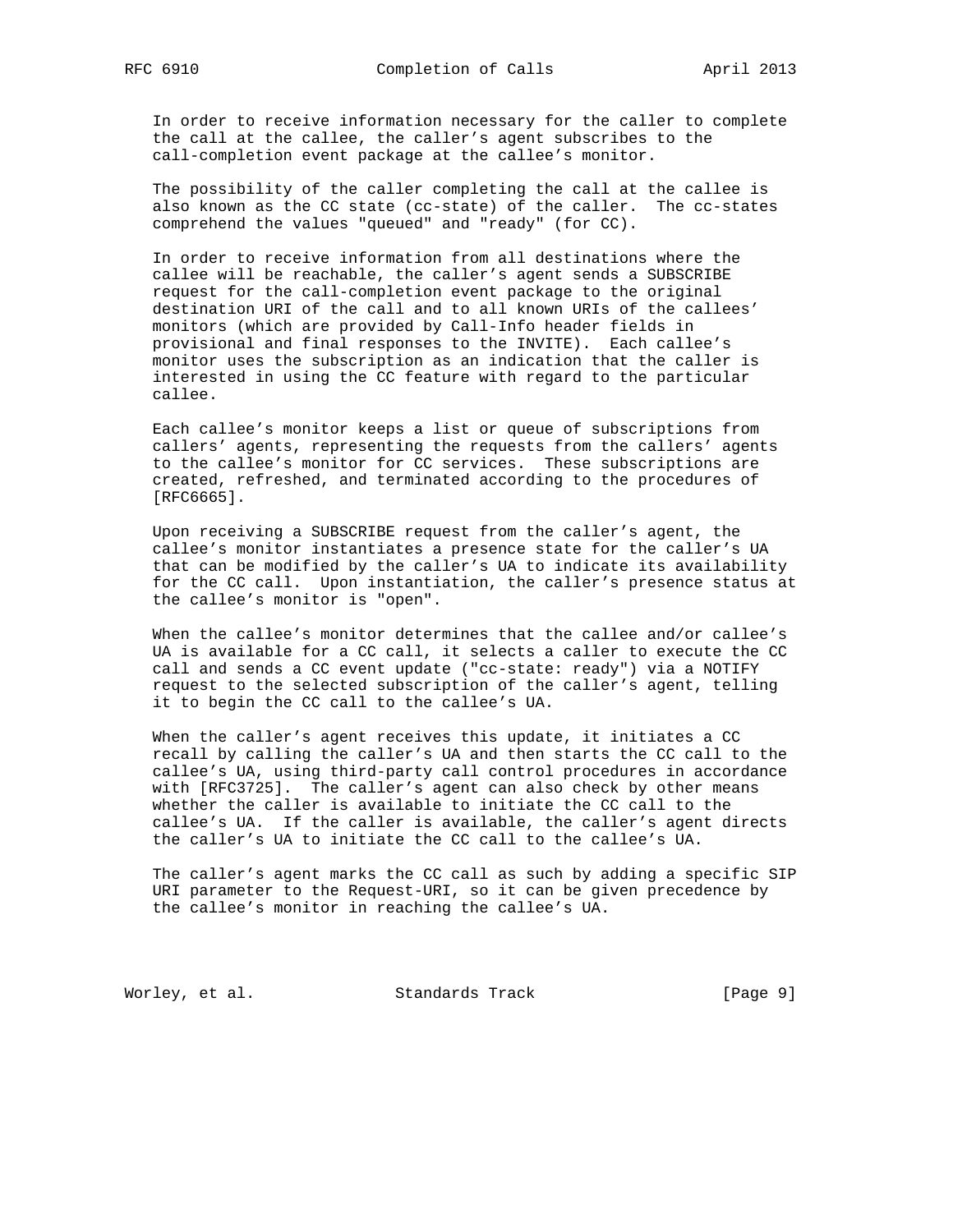In order to receive information necessary for the caller to complete the call at the callee, the caller's agent subscribes to the call-completion event package at the callee's monitor.

 The possibility of the caller completing the call at the callee is also known as the CC state (cc-state) of the caller. The cc-states comprehend the values "queued" and "ready" (for CC).

 In order to receive information from all destinations where the callee will be reachable, the caller's agent sends a SUBSCRIBE request for the call-completion event package to the original destination URI of the call and to all known URIs of the callees' monitors (which are provided by Call-Info header fields in provisional and final responses to the INVITE). Each callee's monitor uses the subscription as an indication that the caller is interested in using the CC feature with regard to the particular callee.

 Each callee's monitor keeps a list or queue of subscriptions from callers' agents, representing the requests from the callers' agents to the callee's monitor for CC services. These subscriptions are created, refreshed, and terminated according to the procedures of [RFC6665].

 Upon receiving a SUBSCRIBE request from the caller's agent, the callee's monitor instantiates a presence state for the caller's UA that can be modified by the caller's UA to indicate its availability for the CC call. Upon instantiation, the caller's presence status at the callee's monitor is "open".

When the callee's monitor determines that the callee and/or callee's UA is available for a CC call, it selects a caller to execute the CC call and sends a CC event update ("cc-state: ready") via a NOTIFY request to the selected subscription of the caller's agent, telling it to begin the CC call to the callee's UA.

 When the caller's agent receives this update, it initiates a CC recall by calling the caller's UA and then starts the CC call to the callee's UA, using third-party call control procedures in accordance with [RFC3725]. The caller's agent can also check by other means whether the caller is available to initiate the CC call to the callee's UA. If the caller is available, the caller's agent directs the caller's UA to initiate the CC call to the callee's UA.

 The caller's agent marks the CC call as such by adding a specific SIP URI parameter to the Request-URI, so it can be given precedence by the callee's monitor in reaching the callee's UA.

Worley, et al. Standards Track [Page 9]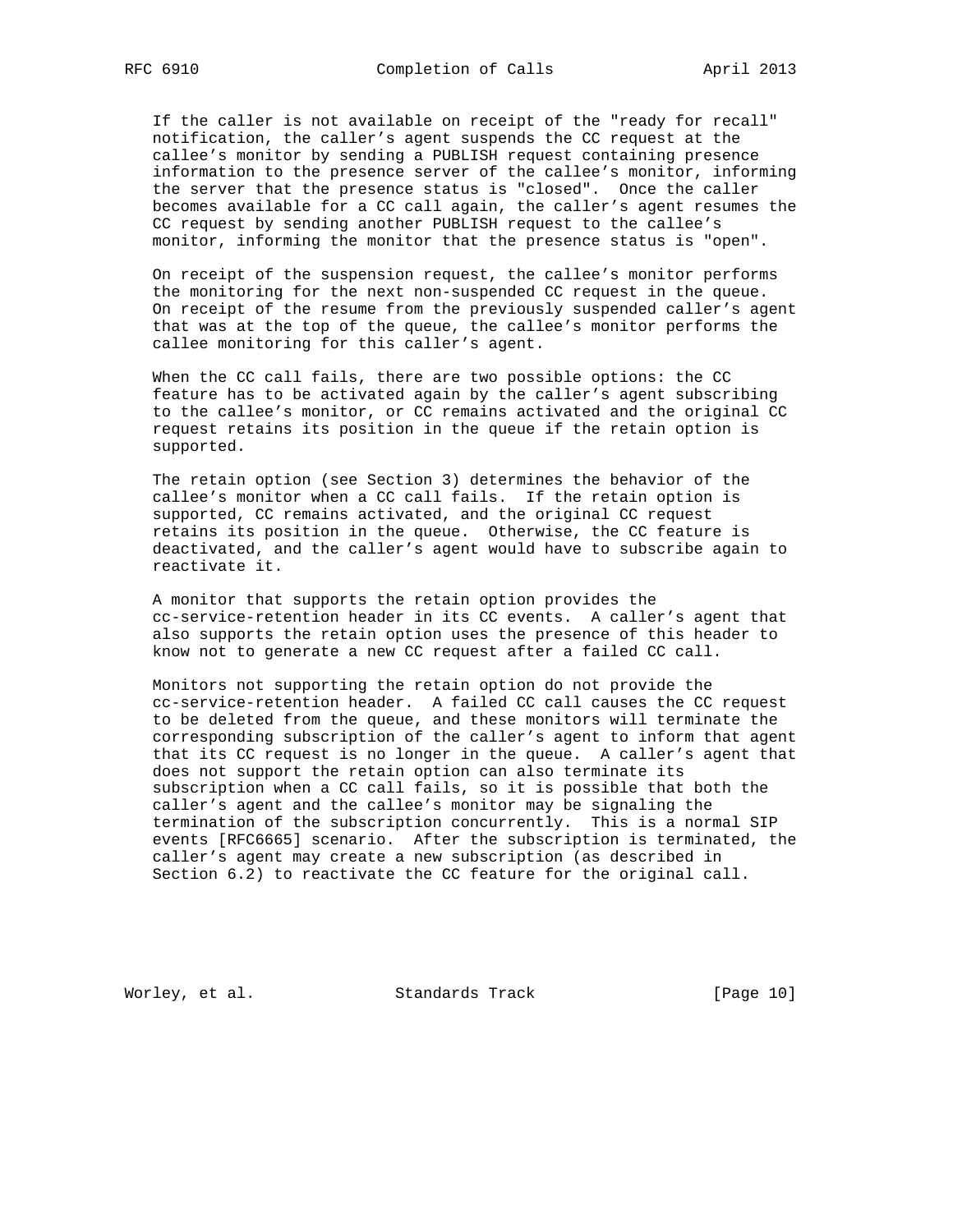If the caller is not available on receipt of the "ready for recall" notification, the caller's agent suspends the CC request at the callee's monitor by sending a PUBLISH request containing presence information to the presence server of the callee's monitor, informing the server that the presence status is "closed". Once the caller becomes available for a CC call again, the caller's agent resumes the CC request by sending another PUBLISH request to the callee's monitor, informing the monitor that the presence status is "open".

 On receipt of the suspension request, the callee's monitor performs the monitoring for the next non-suspended CC request in the queue. On receipt of the resume from the previously suspended caller's agent that was at the top of the queue, the callee's monitor performs the callee monitoring for this caller's agent.

 When the CC call fails, there are two possible options: the CC feature has to be activated again by the caller's agent subscribing to the callee's monitor, or CC remains activated and the original CC request retains its position in the queue if the retain option is supported.

 The retain option (see Section 3) determines the behavior of the callee's monitor when a CC call fails. If the retain option is supported, CC remains activated, and the original CC request retains its position in the queue. Otherwise, the CC feature is deactivated, and the caller's agent would have to subscribe again to reactivate it.

 A monitor that supports the retain option provides the cc-service-retention header in its CC events. A caller's agent that also supports the retain option uses the presence of this header to know not to generate a new CC request after a failed CC call.

 Monitors not supporting the retain option do not provide the cc-service-retention header. A failed CC call causes the CC request to be deleted from the queue, and these monitors will terminate the corresponding subscription of the caller's agent to inform that agent that its CC request is no longer in the queue. A caller's agent that does not support the retain option can also terminate its subscription when a CC call fails, so it is possible that both the caller's agent and the callee's monitor may be signaling the termination of the subscription concurrently. This is a normal SIP events [RFC6665] scenario. After the subscription is terminated, the caller's agent may create a new subscription (as described in Section 6.2) to reactivate the CC feature for the original call.

Worley, et al. Standards Track [Page 10]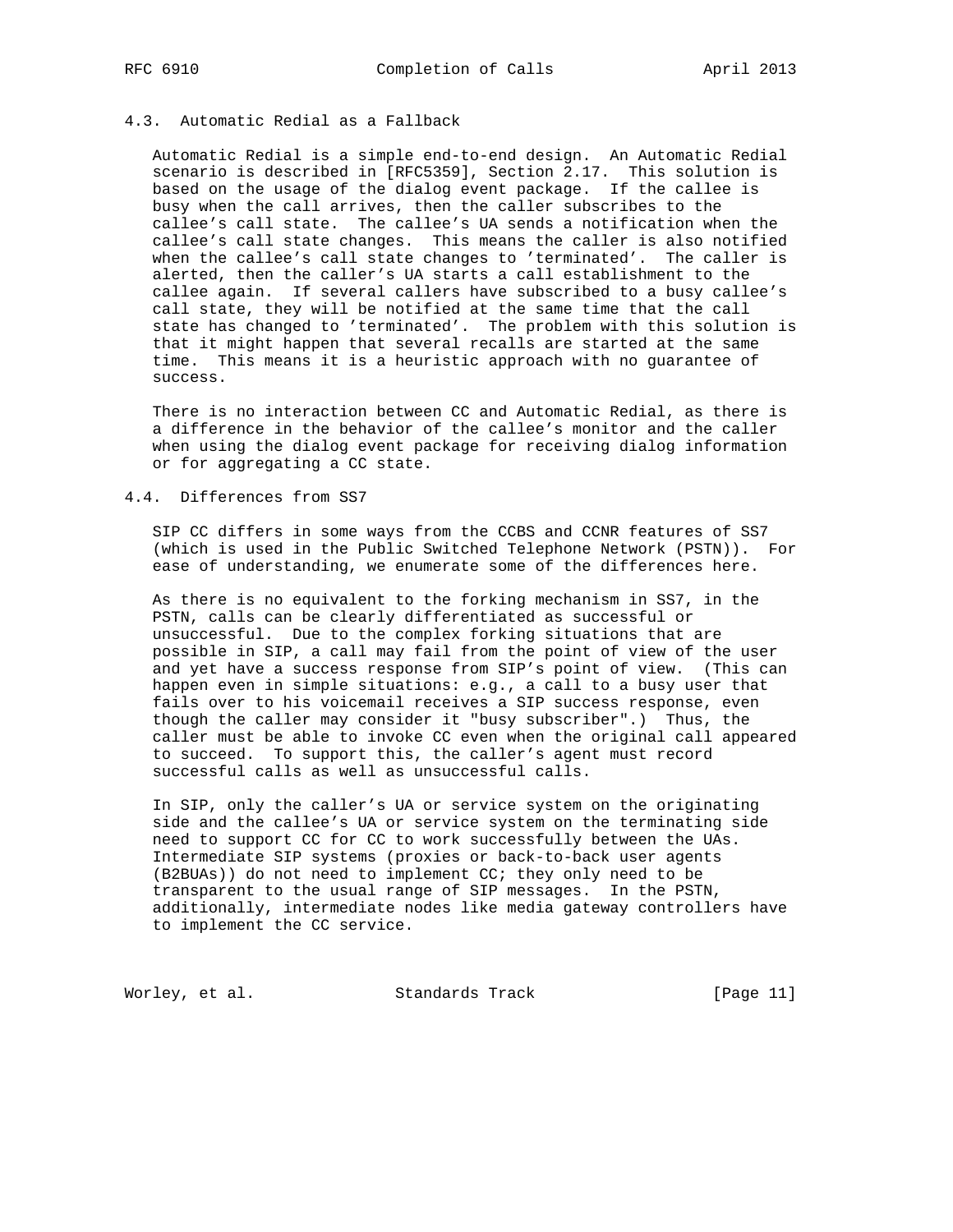# 4.3. Automatic Redial as a Fallback

 Automatic Redial is a simple end-to-end design. An Automatic Redial scenario is described in [RFC5359], Section 2.17. This solution is based on the usage of the dialog event package. If the callee is busy when the call arrives, then the caller subscribes to the callee's call state. The callee's UA sends a notification when the callee's call state changes. This means the caller is also notified when the callee's call state changes to 'terminated'. The caller is alerted, then the caller's UA starts a call establishment to the callee again. If several callers have subscribed to a busy callee's call state, they will be notified at the same time that the call state has changed to 'terminated'. The problem with this solution is that it might happen that several recalls are started at the same time. This means it is a heuristic approach with no guarantee of success.

 There is no interaction between CC and Automatic Redial, as there is a difference in the behavior of the callee's monitor and the caller when using the dialog event package for receiving dialog information or for aggregating a CC state.

### 4.4. Differences from SS7

 SIP CC differs in some ways from the CCBS and CCNR features of SS7 (which is used in the Public Switched Telephone Network (PSTN)). For ease of understanding, we enumerate some of the differences here.

 As there is no equivalent to the forking mechanism in SS7, in the PSTN, calls can be clearly differentiated as successful or unsuccessful. Due to the complex forking situations that are possible in SIP, a call may fail from the point of view of the user and yet have a success response from SIP's point of view. (This can happen even in simple situations: e.g., a call to a busy user that fails over to his voicemail receives a SIP success response, even though the caller may consider it "busy subscriber".) Thus, the caller must be able to invoke CC even when the original call appeared to succeed. To support this, the caller's agent must record successful calls as well as unsuccessful calls.

 In SIP, only the caller's UA or service system on the originating side and the callee's UA or service system on the terminating side need to support CC for CC to work successfully between the UAs. Intermediate SIP systems (proxies or back-to-back user agents (B2BUAs)) do not need to implement CC; they only need to be transparent to the usual range of SIP messages. In the PSTN, additionally, intermediate nodes like media gateway controllers have to implement the CC service.

Worley, et al. Standards Track [Page 11]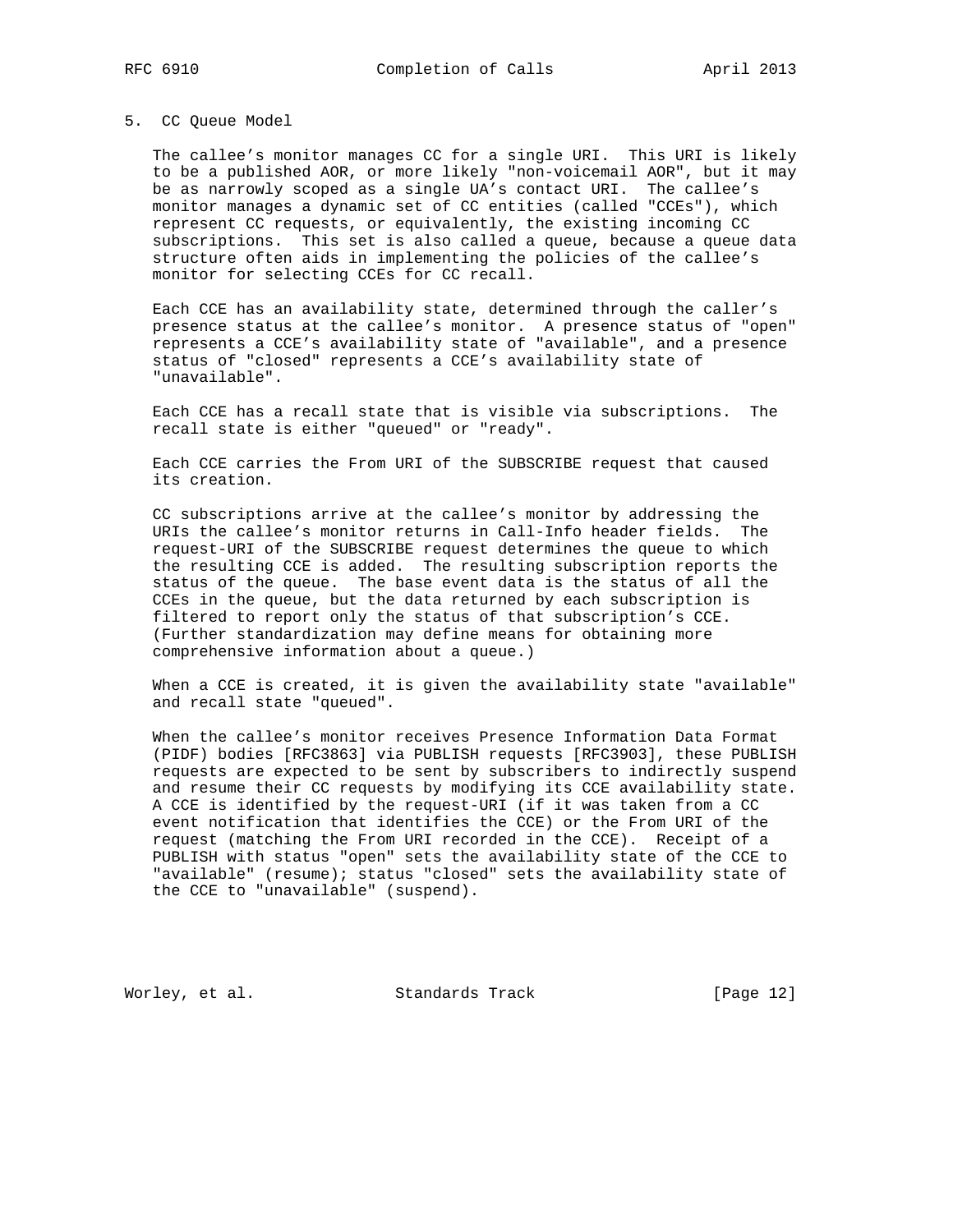### 5. CC Queue Model

 The callee's monitor manages CC for a single URI. This URI is likely to be a published AOR, or more likely "non-voicemail AOR", but it may be as narrowly scoped as a single UA's contact URI. The callee's monitor manages a dynamic set of CC entities (called "CCEs"), which represent CC requests, or equivalently, the existing incoming CC subscriptions. This set is also called a queue, because a queue data structure often aids in implementing the policies of the callee's monitor for selecting CCEs for CC recall.

 Each CCE has an availability state, determined through the caller's presence status at the callee's monitor. A presence status of "open" represents a CCE's availability state of "available", and a presence status of "closed" represents a CCE's availability state of "unavailable".

 Each CCE has a recall state that is visible via subscriptions. The recall state is either "queued" or "ready".

 Each CCE carries the From URI of the SUBSCRIBE request that caused its creation.

 CC subscriptions arrive at the callee's monitor by addressing the URIs the callee's monitor returns in Call-Info header fields. The request-URI of the SUBSCRIBE request determines the queue to which the resulting CCE is added. The resulting subscription reports the status of the queue. The base event data is the status of all the CCEs in the queue, but the data returned by each subscription is filtered to report only the status of that subscription's CCE. (Further standardization may define means for obtaining more comprehensive information about a queue.)

 When a CCE is created, it is given the availability state "available" and recall state "queued".

 When the callee's monitor receives Presence Information Data Format (PIDF) bodies [RFC3863] via PUBLISH requests [RFC3903], these PUBLISH requests are expected to be sent by subscribers to indirectly suspend and resume their CC requests by modifying its CCE availability state. A CCE is identified by the request-URI (if it was taken from a CC event notification that identifies the CCE) or the From URI of the request (matching the From URI recorded in the CCE). Receipt of a PUBLISH with status "open" sets the availability state of the CCE to "available" (resume); status "closed" sets the availability state of the CCE to "unavailable" (suspend).

Worley, et al. Standards Track [Page 12]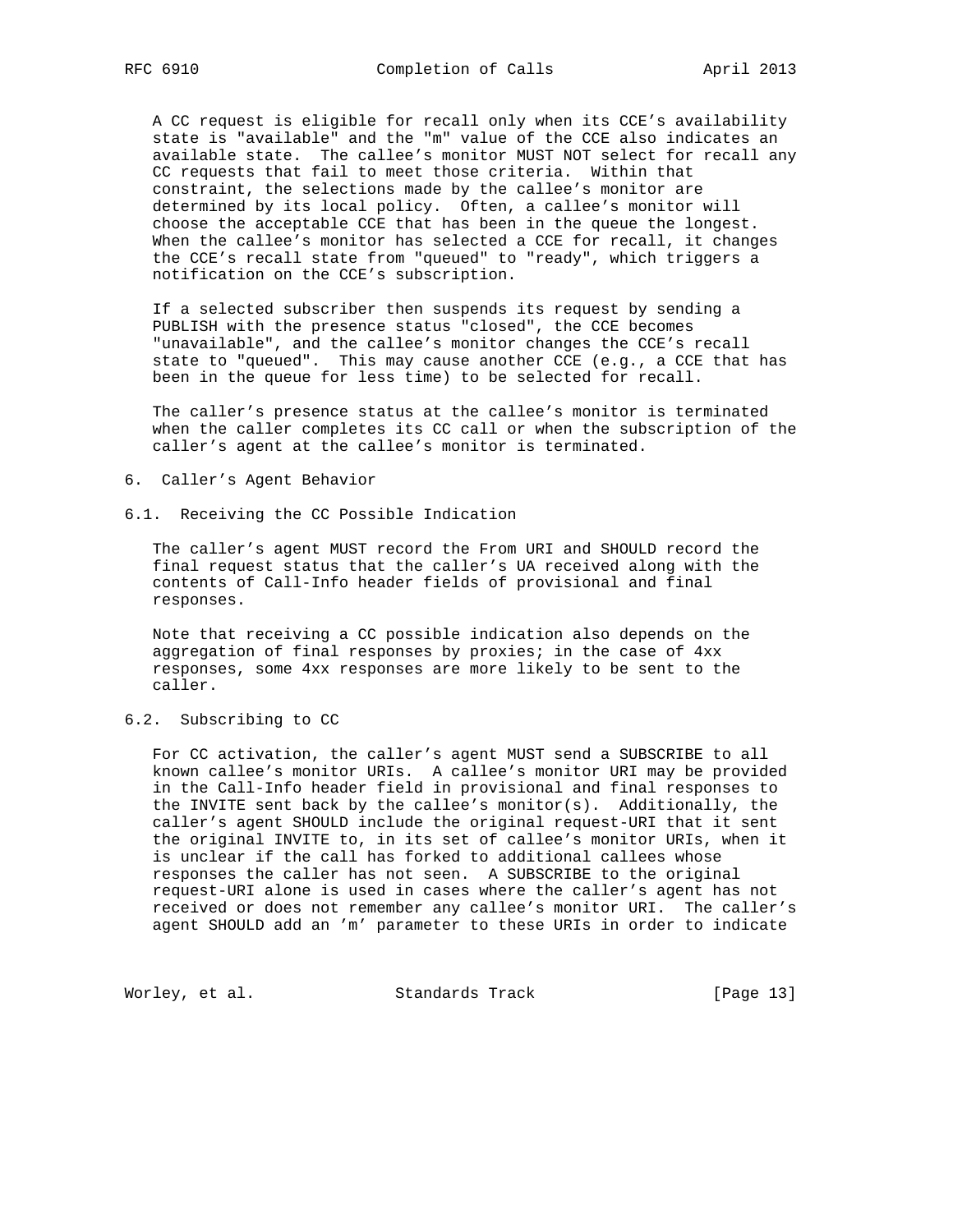A CC request is eligible for recall only when its CCE's availability state is "available" and the "m" value of the CCE also indicates an available state. The callee's monitor MUST NOT select for recall any CC requests that fail to meet those criteria. Within that constraint, the selections made by the callee's monitor are determined by its local policy. Often, a callee's monitor will choose the acceptable CCE that has been in the queue the longest. When the callee's monitor has selected a CCE for recall, it changes the CCE's recall state from "queued" to "ready", which triggers a notification on the CCE's subscription.

 If a selected subscriber then suspends its request by sending a PUBLISH with the presence status "closed", the CCE becomes "unavailable", and the callee's monitor changes the CCE's recall state to "queued". This may cause another CCE (e.g., a CCE that has been in the queue for less time) to be selected for recall.

 The caller's presence status at the callee's monitor is terminated when the caller completes its CC call or when the subscription of the caller's agent at the callee's monitor is terminated.

- 6. Caller's Agent Behavior
- 6.1. Receiving the CC Possible Indication

 The caller's agent MUST record the From URI and SHOULD record the final request status that the caller's UA received along with the contents of Call-Info header fields of provisional and final responses.

 Note that receiving a CC possible indication also depends on the aggregation of final responses by proxies; in the case of 4xx responses, some 4xx responses are more likely to be sent to the caller.

6.2. Subscribing to CC

 For CC activation, the caller's agent MUST send a SUBSCRIBE to all known callee's monitor URIs. A callee's monitor URI may be provided in the Call-Info header field in provisional and final responses to the INVITE sent back by the callee's monitor(s). Additionally, the caller's agent SHOULD include the original request-URI that it sent the original INVITE to, in its set of callee's monitor URIs, when it is unclear if the call has forked to additional callees whose responses the caller has not seen. A SUBSCRIBE to the original request-URI alone is used in cases where the caller's agent has not received or does not remember any callee's monitor URI. The caller's agent SHOULD add an 'm' parameter to these URIs in order to indicate

Worley, et al. Standards Track [Page 13]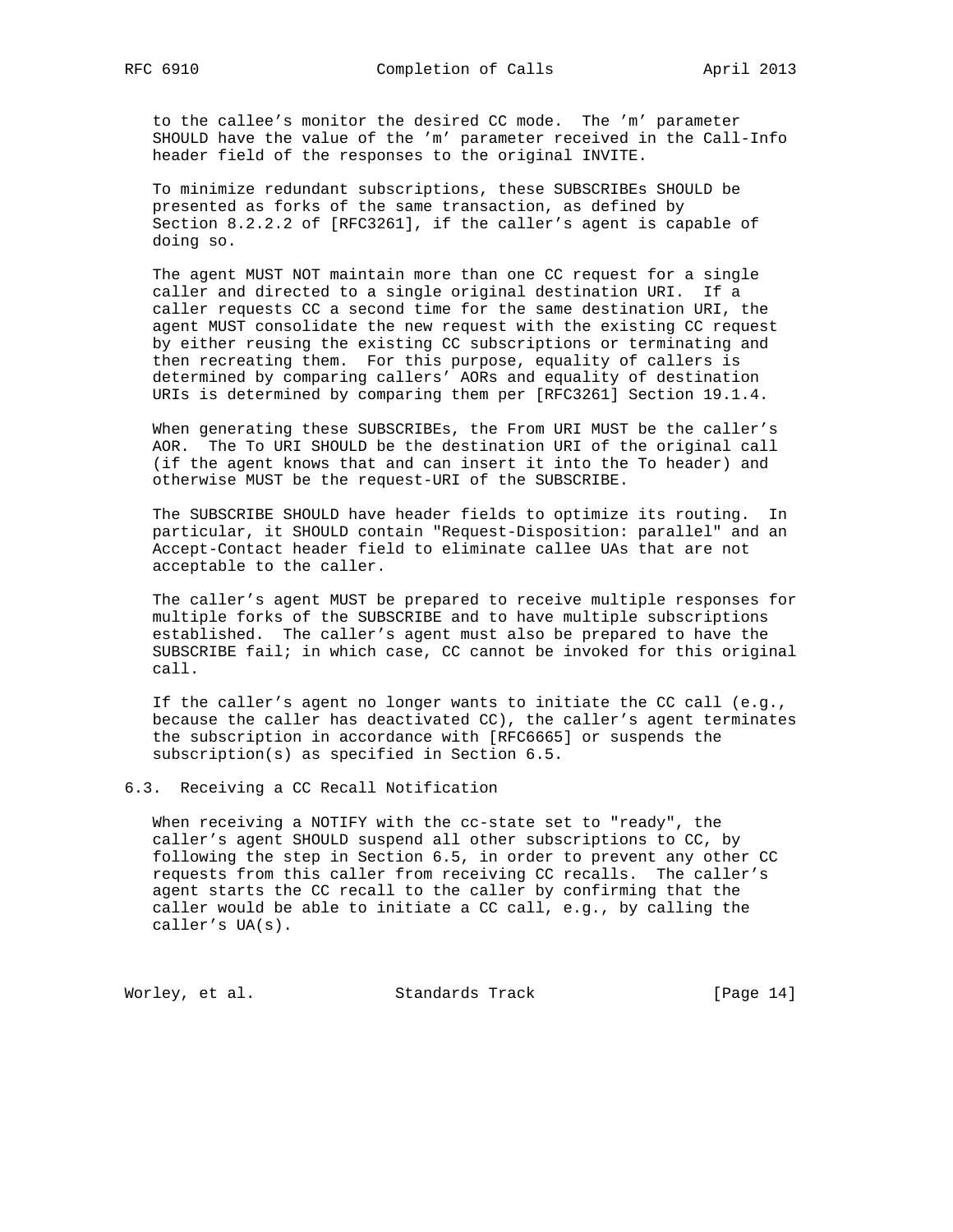to the callee's monitor the desired CC mode. The 'm' parameter SHOULD have the value of the 'm' parameter received in the Call-Info header field of the responses to the original INVITE.

 To minimize redundant subscriptions, these SUBSCRIBEs SHOULD be presented as forks of the same transaction, as defined by Section 8.2.2.2 of [RFC3261], if the caller's agent is capable of doing so.

 The agent MUST NOT maintain more than one CC request for a single caller and directed to a single original destination URI. If a caller requests CC a second time for the same destination URI, the agent MUST consolidate the new request with the existing CC request by either reusing the existing CC subscriptions or terminating and then recreating them. For this purpose, equality of callers is determined by comparing callers' AORs and equality of destination URIs is determined by comparing them per [RFC3261] Section 19.1.4.

 When generating these SUBSCRIBEs, the From URI MUST be the caller's AOR. The To URI SHOULD be the destination URI of the original call (if the agent knows that and can insert it into the To header) and otherwise MUST be the request-URI of the SUBSCRIBE.

 The SUBSCRIBE SHOULD have header fields to optimize its routing. In particular, it SHOULD contain "Request-Disposition: parallel" and an Accept-Contact header field to eliminate callee UAs that are not acceptable to the caller.

 The caller's agent MUST be prepared to receive multiple responses for multiple forks of the SUBSCRIBE and to have multiple subscriptions established. The caller's agent must also be prepared to have the SUBSCRIBE fail; in which case, CC cannot be invoked for this original call.

 If the caller's agent no longer wants to initiate the CC call (e.g., because the caller has deactivated CC), the caller's agent terminates the subscription in accordance with [RFC6665] or suspends the subscription(s) as specified in Section 6.5.

### 6.3. Receiving a CC Recall Notification

 When receiving a NOTIFY with the cc-state set to "ready", the caller's agent SHOULD suspend all other subscriptions to CC, by following the step in Section 6.5, in order to prevent any other CC requests from this caller from receiving CC recalls. The caller's agent starts the CC recall to the caller by confirming that the caller would be able to initiate a CC call, e.g., by calling the caller's UA(s).

Worley, et al. Standards Track [Page 14]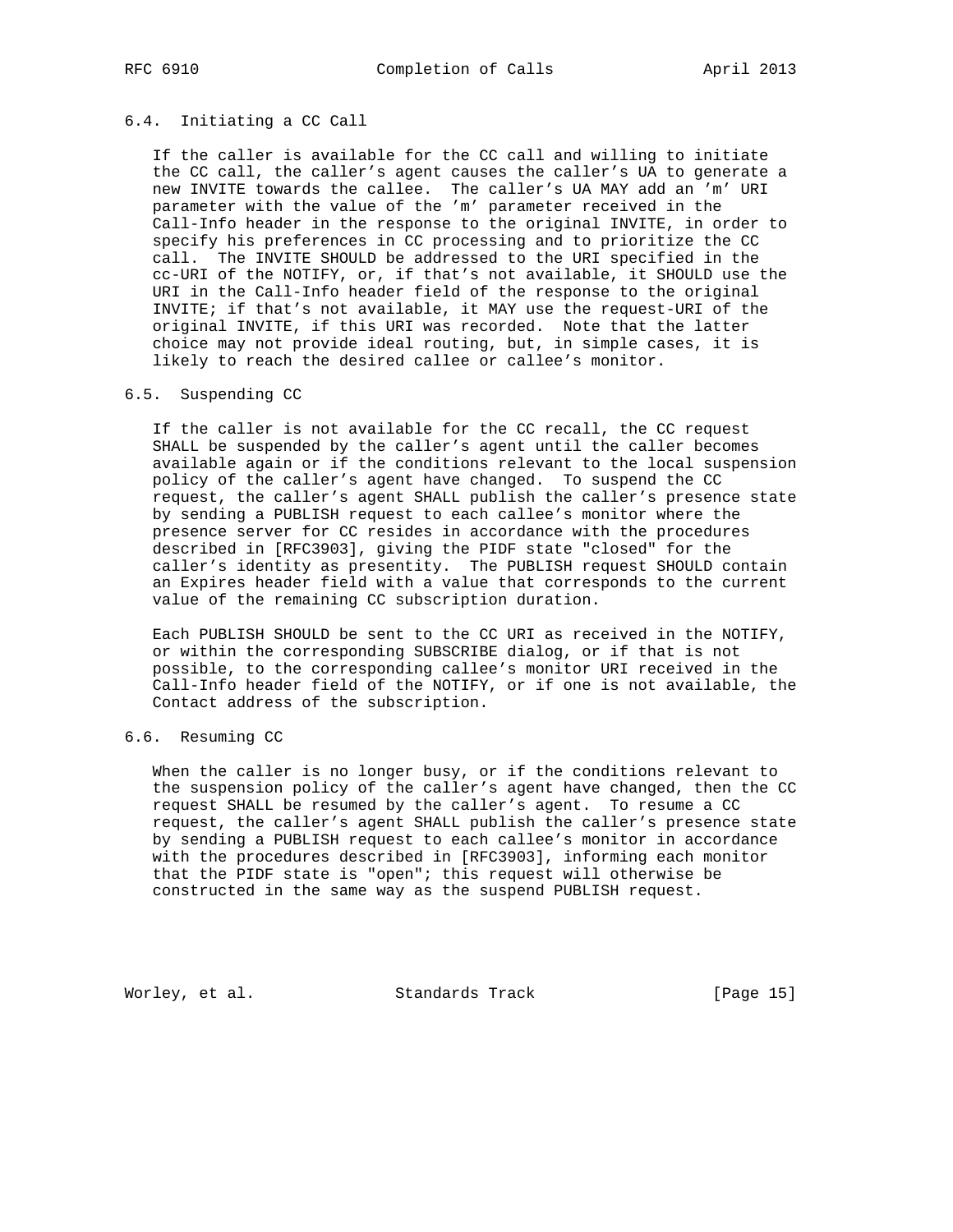## 6.4. Initiating a CC Call

 If the caller is available for the CC call and willing to initiate the CC call, the caller's agent causes the caller's UA to generate a new INVITE towards the callee. The caller's UA MAY add an 'm' URI parameter with the value of the 'm' parameter received in the Call-Info header in the response to the original INVITE, in order to specify his preferences in CC processing and to prioritize the CC call. The INVITE SHOULD be addressed to the URI specified in the cc-URI of the NOTIFY, or, if that's not available, it SHOULD use the URI in the Call-Info header field of the response to the original INVITE; if that's not available, it MAY use the request-URI of the original INVITE, if this URI was recorded. Note that the latter choice may not provide ideal routing, but, in simple cases, it is likely to reach the desired callee or callee's monitor.

### 6.5. Suspending CC

 If the caller is not available for the CC recall, the CC request SHALL be suspended by the caller's agent until the caller becomes available again or if the conditions relevant to the local suspension policy of the caller's agent have changed. To suspend the CC request, the caller's agent SHALL publish the caller's presence state by sending a PUBLISH request to each callee's monitor where the presence server for CC resides in accordance with the procedures described in [RFC3903], giving the PIDF state "closed" for the caller's identity as presentity. The PUBLISH request SHOULD contain an Expires header field with a value that corresponds to the current value of the remaining CC subscription duration.

 Each PUBLISH SHOULD be sent to the CC URI as received in the NOTIFY, or within the corresponding SUBSCRIBE dialog, or if that is not possible, to the corresponding callee's monitor URI received in the Call-Info header field of the NOTIFY, or if one is not available, the Contact address of the subscription.

# 6.6. Resuming CC

 When the caller is no longer busy, or if the conditions relevant to the suspension policy of the caller's agent have changed, then the CC request SHALL be resumed by the caller's agent. To resume a CC request, the caller's agent SHALL publish the caller's presence state by sending a PUBLISH request to each callee's monitor in accordance with the procedures described in [RFC3903], informing each monitor that the PIDF state is "open"; this request will otherwise be constructed in the same way as the suspend PUBLISH request.

Worley, et al. Standards Track [Page 15]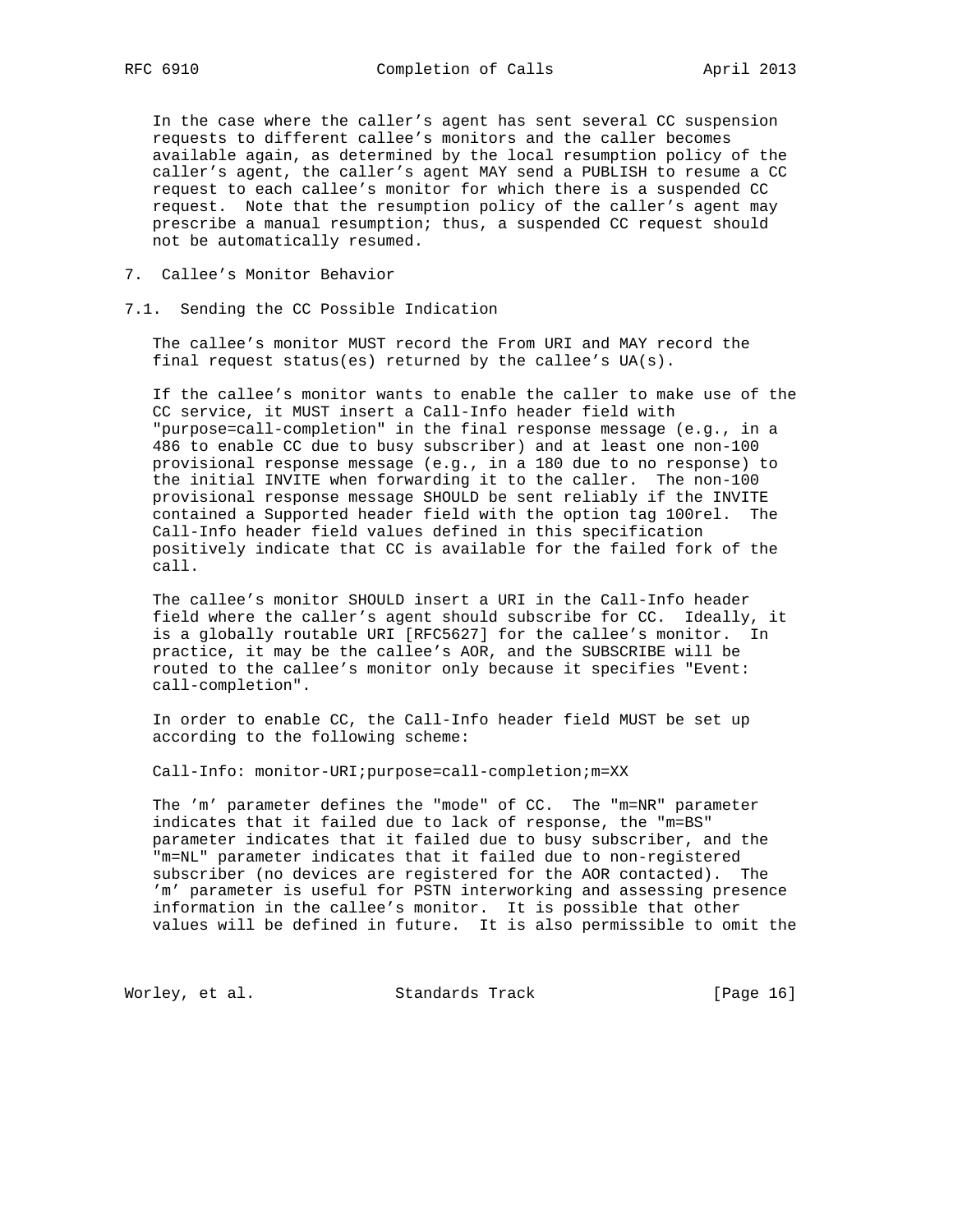In the case where the caller's agent has sent several CC suspension requests to different callee's monitors and the caller becomes available again, as determined by the local resumption policy of the caller's agent, the caller's agent MAY send a PUBLISH to resume a CC request to each callee's monitor for which there is a suspended CC request. Note that the resumption policy of the caller's agent may prescribe a manual resumption; thus, a suspended CC request should not be automatically resumed.

- 7. Callee's Monitor Behavior
- 7.1. Sending the CC Possible Indication

 The callee's monitor MUST record the From URI and MAY record the final request status(es) returned by the callee's UA(s).

 If the callee's monitor wants to enable the caller to make use of the CC service, it MUST insert a Call-Info header field with "purpose=call-completion" in the final response message (e.g., in a 486 to enable CC due to busy subscriber) and at least one non-100 provisional response message (e.g., in a 180 due to no response) to the initial INVITE when forwarding it to the caller. The non-100 provisional response message SHOULD be sent reliably if the INVITE contained a Supported header field with the option tag 100rel. The Call-Info header field values defined in this specification positively indicate that CC is available for the failed fork of the call.

 The callee's monitor SHOULD insert a URI in the Call-Info header field where the caller's agent should subscribe for CC. Ideally, it is a globally routable URI [RFC5627] for the callee's monitor. In practice, it may be the callee's AOR, and the SUBSCRIBE will be routed to the callee's monitor only because it specifies "Event: call-completion".

 In order to enable CC, the Call-Info header field MUST be set up according to the following scheme:

Call-Info: monitor-URI;purpose=call-completion;m=XX

 The 'm' parameter defines the "mode" of CC. The "m=NR" parameter indicates that it failed due to lack of response, the "m=BS" parameter indicates that it failed due to busy subscriber, and the "m=NL" parameter indicates that it failed due to non-registered subscriber (no devices are registered for the AOR contacted). The 'm' parameter is useful for PSTN interworking and assessing presence information in the callee's monitor. It is possible that other values will be defined in future. It is also permissible to omit the

Worley, et al. Standards Track [Page 16]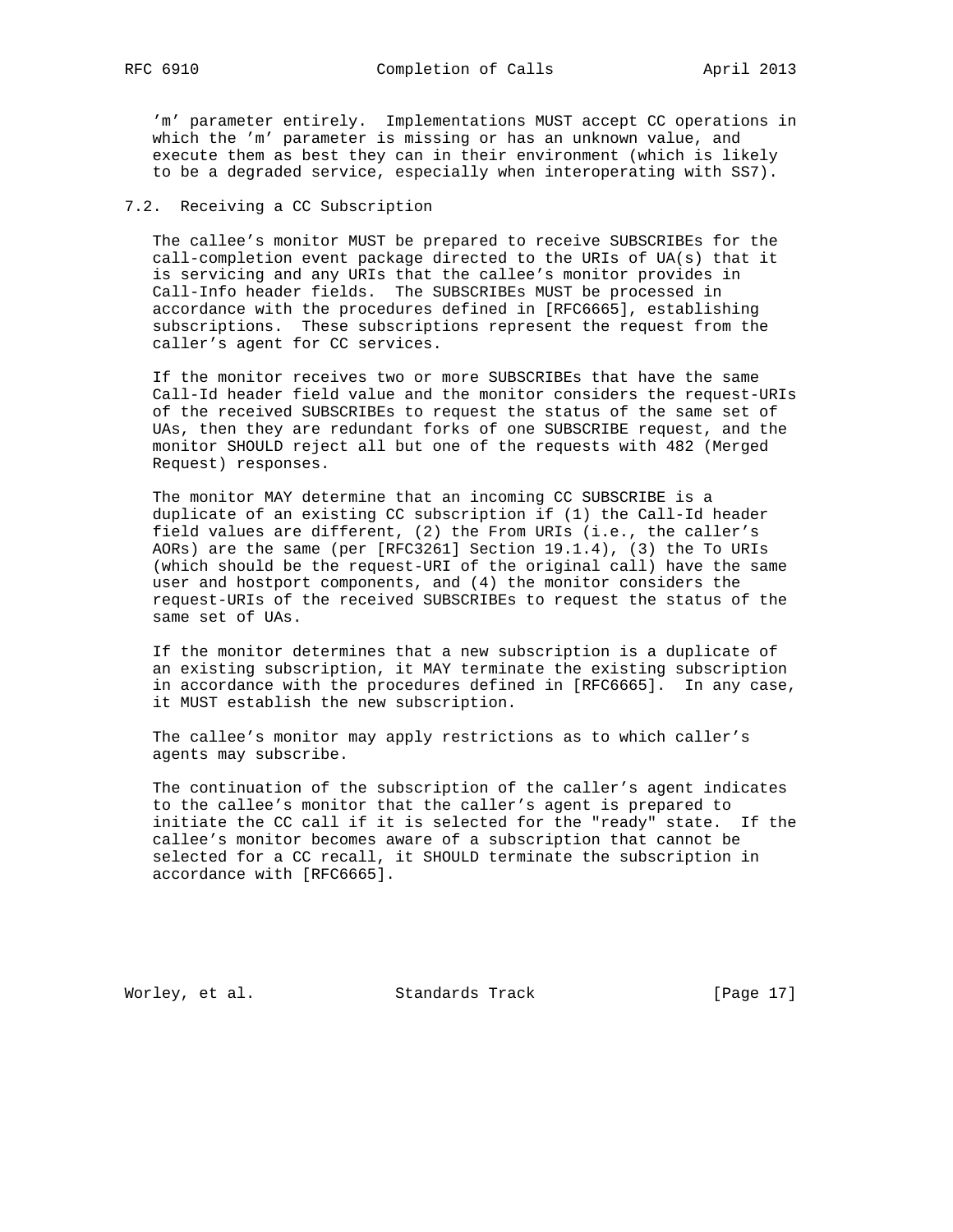'm' parameter entirely. Implementations MUST accept CC operations in which the 'm' parameter is missing or has an unknown value, and execute them as best they can in their environment (which is likely to be a degraded service, especially when interoperating with SS7).

### 7.2. Receiving a CC Subscription

 The callee's monitor MUST be prepared to receive SUBSCRIBEs for the call-completion event package directed to the URIs of UA(s) that it is servicing and any URIs that the callee's monitor provides in Call-Info header fields. The SUBSCRIBEs MUST be processed in accordance with the procedures defined in [RFC6665], establishing subscriptions. These subscriptions represent the request from the caller's agent for CC services.

 If the monitor receives two or more SUBSCRIBEs that have the same Call-Id header field value and the monitor considers the request-URIs of the received SUBSCRIBEs to request the status of the same set of UAs, then they are redundant forks of one SUBSCRIBE request, and the monitor SHOULD reject all but one of the requests with 482 (Merged Request) responses.

 The monitor MAY determine that an incoming CC SUBSCRIBE is a duplicate of an existing CC subscription if (1) the Call-Id header field values are different, (2) the From URIs (i.e., the caller's AORs) are the same (per [RFC3261] Section 19.1.4), (3) the To URIs (which should be the request-URI of the original call) have the same user and hostport components, and (4) the monitor considers the request-URIs of the received SUBSCRIBEs to request the status of the same set of UAs.

 If the monitor determines that a new subscription is a duplicate of an existing subscription, it MAY terminate the existing subscription in accordance with the procedures defined in [RFC6665]. In any case, it MUST establish the new subscription.

 The callee's monitor may apply restrictions as to which caller's agents may subscribe.

 The continuation of the subscription of the caller's agent indicates to the callee's monitor that the caller's agent is prepared to initiate the CC call if it is selected for the "ready" state. If the callee's monitor becomes aware of a subscription that cannot be selected for a CC recall, it SHOULD terminate the subscription in accordance with [RFC6665].

Worley, et al. Standards Track [Page 17]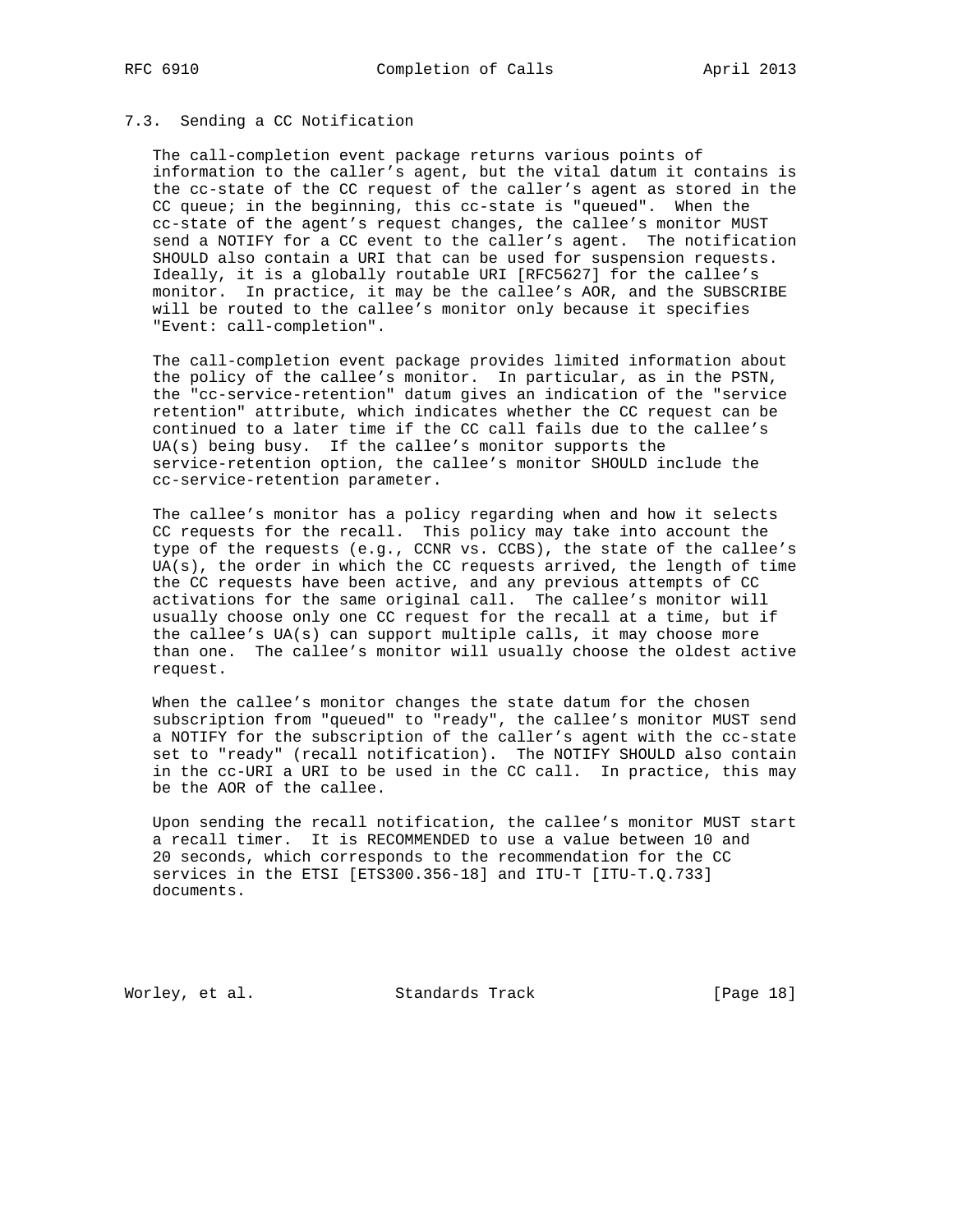# 7.3. Sending a CC Notification

 The call-completion event package returns various points of information to the caller's agent, but the vital datum it contains is the cc-state of the CC request of the caller's agent as stored in the CC queue; in the beginning, this cc-state is "queued". When the cc-state of the agent's request changes, the callee's monitor MUST send a NOTIFY for a CC event to the caller's agent. The notification SHOULD also contain a URI that can be used for suspension requests. Ideally, it is a globally routable URI [RFC5627] for the callee's monitor. In practice, it may be the callee's AOR, and the SUBSCRIBE will be routed to the callee's monitor only because it specifies "Event: call-completion".

 The call-completion event package provides limited information about the policy of the callee's monitor. In particular, as in the PSTN, the "cc-service-retention" datum gives an indication of the "service retention" attribute, which indicates whether the CC request can be continued to a later time if the CC call fails due to the callee's UA(s) being busy. If the callee's monitor supports the service-retention option, the callee's monitor SHOULD include the cc-service-retention parameter.

 The callee's monitor has a policy regarding when and how it selects CC requests for the recall. This policy may take into account the type of the requests (e.g., CCNR vs. CCBS), the state of the callee's UA(s), the order in which the CC requests arrived, the length of time the CC requests have been active, and any previous attempts of CC activations for the same original call. The callee's monitor will usually choose only one CC request for the recall at a time, but if the callee's UA(s) can support multiple calls, it may choose more than one. The callee's monitor will usually choose the oldest active request.

 When the callee's monitor changes the state datum for the chosen subscription from "queued" to "ready", the callee's monitor MUST send a NOTIFY for the subscription of the caller's agent with the cc-state set to "ready" (recall notification). The NOTIFY SHOULD also contain in the cc-URI a URI to be used in the CC call. In practice, this may be the AOR of the callee.

 Upon sending the recall notification, the callee's monitor MUST start a recall timer. It is RECOMMENDED to use a value between 10 and 20 seconds, which corresponds to the recommendation for the CC services in the ETSI [ETS300.356-18] and ITU-T [ITU-T.Q.733] documents.

Worley, et al. Standards Track [Page 18]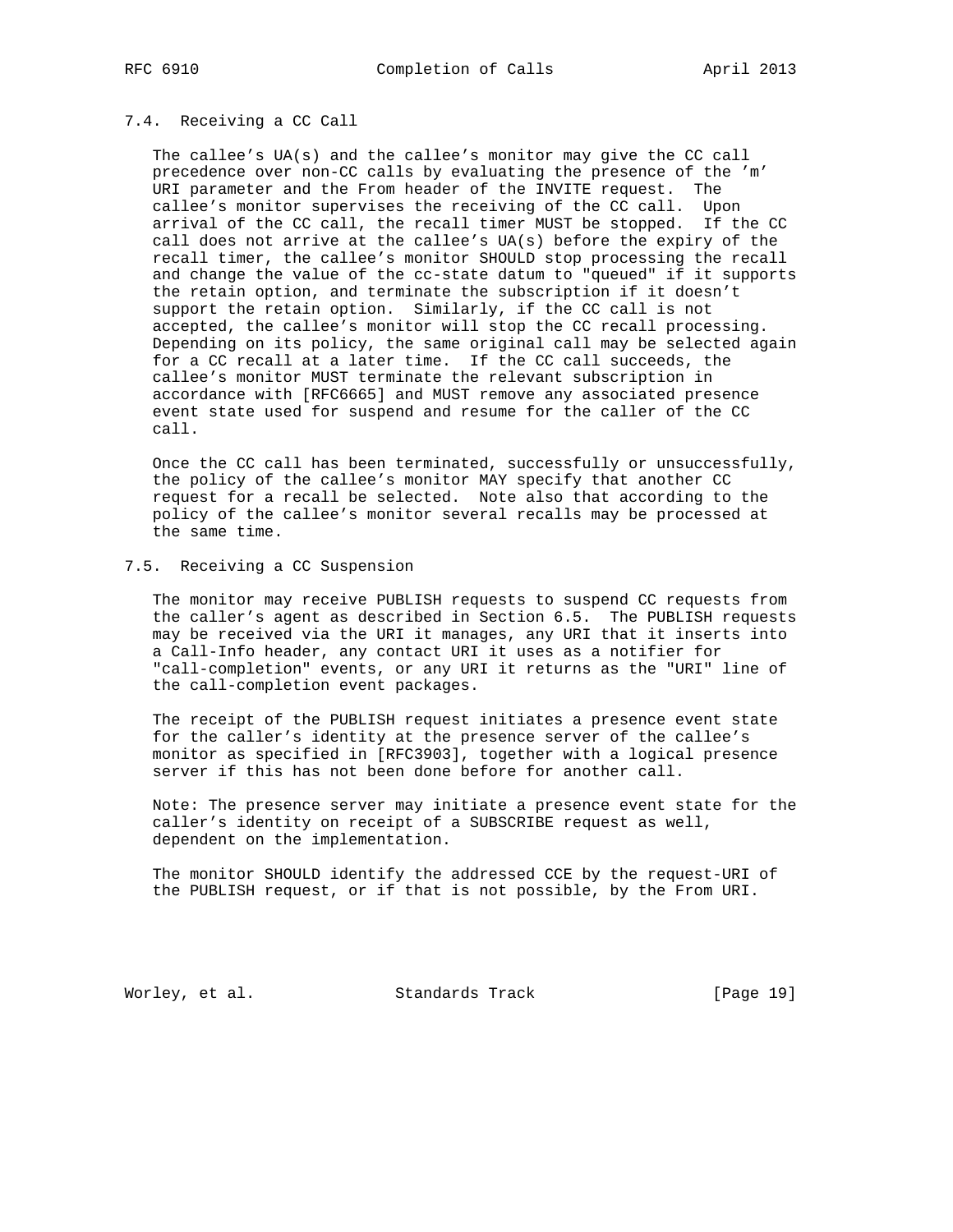# 7.4. Receiving a CC Call

 The callee's UA(s) and the callee's monitor may give the CC call precedence over non-CC calls by evaluating the presence of the 'm' URI parameter and the From header of the INVITE request. The callee's monitor supervises the receiving of the CC call. Upon arrival of the CC call, the recall timer MUST be stopped. If the CC call does not arrive at the callee's UA(s) before the expiry of the recall timer, the callee's monitor SHOULD stop processing the recall and change the value of the cc-state datum to "queued" if it supports the retain option, and terminate the subscription if it doesn't support the retain option. Similarly, if the CC call is not accepted, the callee's monitor will stop the CC recall processing. Depending on its policy, the same original call may be selected again for a CC recall at a later time. If the CC call succeeds, the callee's monitor MUST terminate the relevant subscription in accordance with [RFC6665] and MUST remove any associated presence event state used for suspend and resume for the caller of the CC call.

 Once the CC call has been terminated, successfully or unsuccessfully, the policy of the callee's monitor MAY specify that another CC request for a recall be selected. Note also that according to the policy of the callee's monitor several recalls may be processed at the same time.

## 7.5. Receiving a CC Suspension

 The monitor may receive PUBLISH requests to suspend CC requests from the caller's agent as described in Section 6.5. The PUBLISH requests may be received via the URI it manages, any URI that it inserts into a Call-Info header, any contact URI it uses as a notifier for "call-completion" events, or any URI it returns as the "URI" line of the call-completion event packages.

 The receipt of the PUBLISH request initiates a presence event state for the caller's identity at the presence server of the callee's monitor as specified in [RFC3903], together with a logical presence server if this has not been done before for another call.

 Note: The presence server may initiate a presence event state for the caller's identity on receipt of a SUBSCRIBE request as well, dependent on the implementation.

 The monitor SHOULD identify the addressed CCE by the request-URI of the PUBLISH request, or if that is not possible, by the From URI.

Worley, et al. Standards Track [Page 19]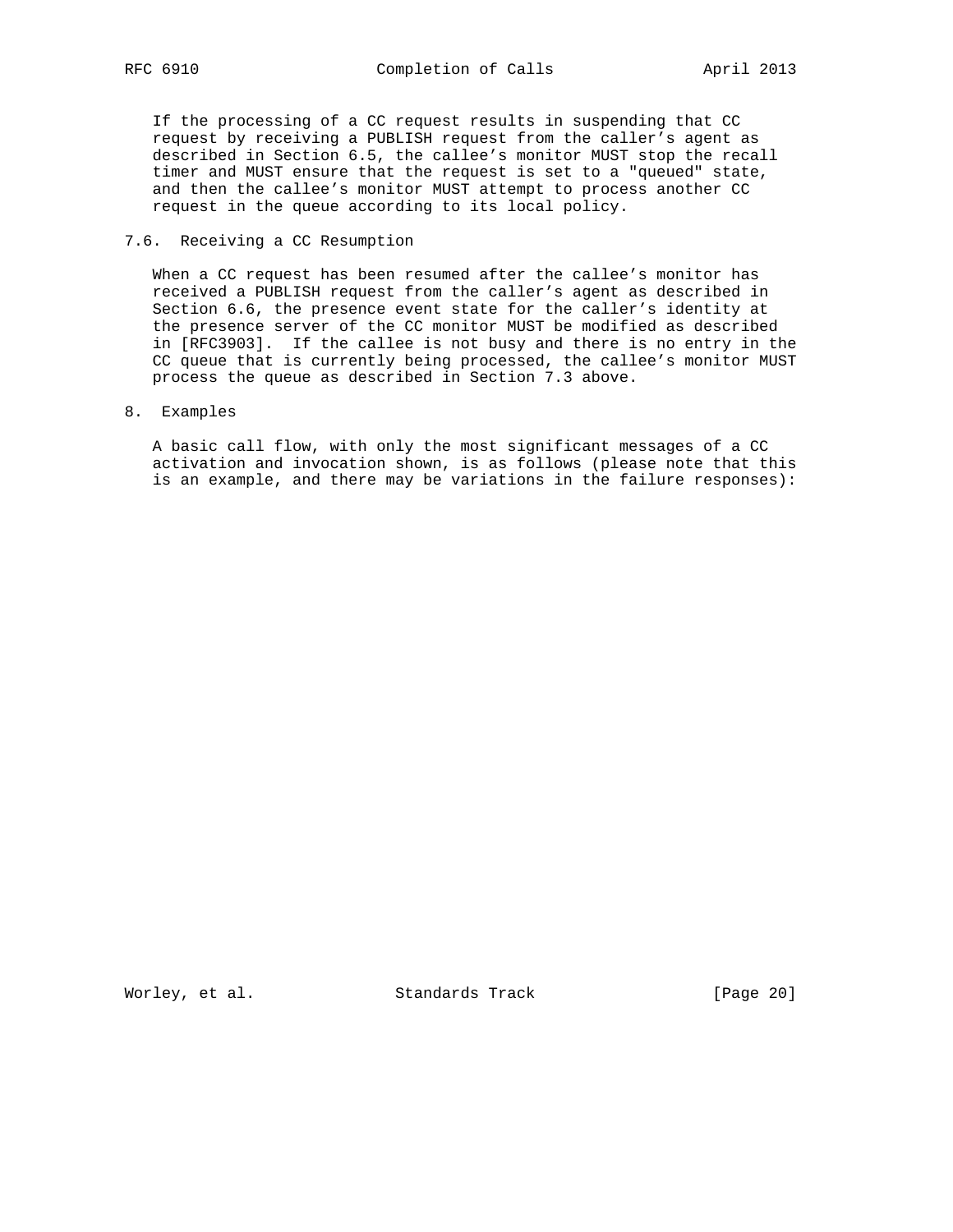If the processing of a CC request results in suspending that CC request by receiving a PUBLISH request from the caller's agent as described in Section 6.5, the callee's monitor MUST stop the recall timer and MUST ensure that the request is set to a "queued" state, and then the callee's monitor MUST attempt to process another CC request in the queue according to its local policy.

# 7.6. Receiving a CC Resumption

 When a CC request has been resumed after the callee's monitor has received a PUBLISH request from the caller's agent as described in Section 6.6, the presence event state for the caller's identity at the presence server of the CC monitor MUST be modified as described in [RFC3903]. If the callee is not busy and there is no entry in the CC queue that is currently being processed, the callee's monitor MUST process the queue as described in Section 7.3 above.

8. Examples

 A basic call flow, with only the most significant messages of a CC activation and invocation shown, is as follows (please note that this is an example, and there may be variations in the failure responses):

Worley, et al. Standards Track [Page 20]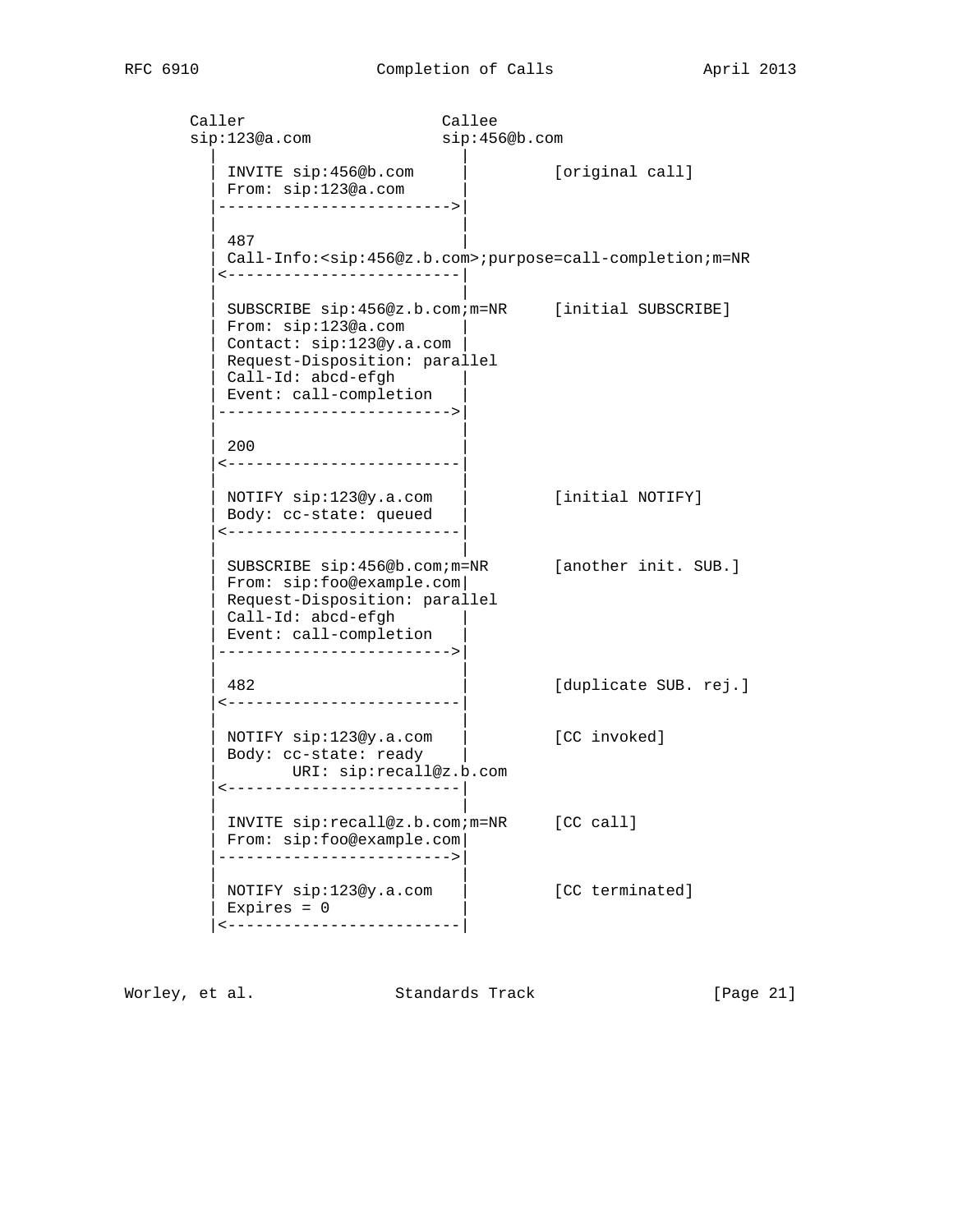Caller Callee sip:123@a.com sip:456@b.com | | | INVITE sip:456@b.com | [original call] | From: sip:123@a.com | |------------------------->| | | 487 | Call-Info:<sip:456@z.b.com>;purpose=call-completion;m=NR |<-------------------------| | | | SUBSCRIBE sip:456@z.b.com;m=NR [initial SUBSCRIBE] | From: sip:123@a.com | Contact: sip:123@y.a.com | Request-Disposition: parallel | Call-Id: abcd-efgh | Event: call-completion |------------------------->| | | | 200 | |<-------------------------| | | | [initial NOTIFY]<br>| NOTIFY sip:123@y.a.com<br>Body: cc-state: queued |<-------------------------| | | | SUBSCRIBE sip:456@b.com;m=NR [another init. SUB.] | From: sip:foo@example.com| | Request-Disposition: parallel | Call-Id: abcd-efgh | Event: call-completion |------------------------->| | | | 482 | [duplicate SUB. rej.] |<-------------------------| | | | NOTIFY sip:123@y.a.com | [CC invoked] | Body: cc-state: ready | | URI: sip:recall@z.b.com |<-------------------------| | | | INVITE sip:recall@z.b.com;m=NR [CC call] | From: sip:foo@example.com| |------------------------->| | | NOTIFY sip:123@y.a.com | [CC terminated] | Expires = 0 | |<-------------------------|

Worley, et al. Standards Track [Page 21]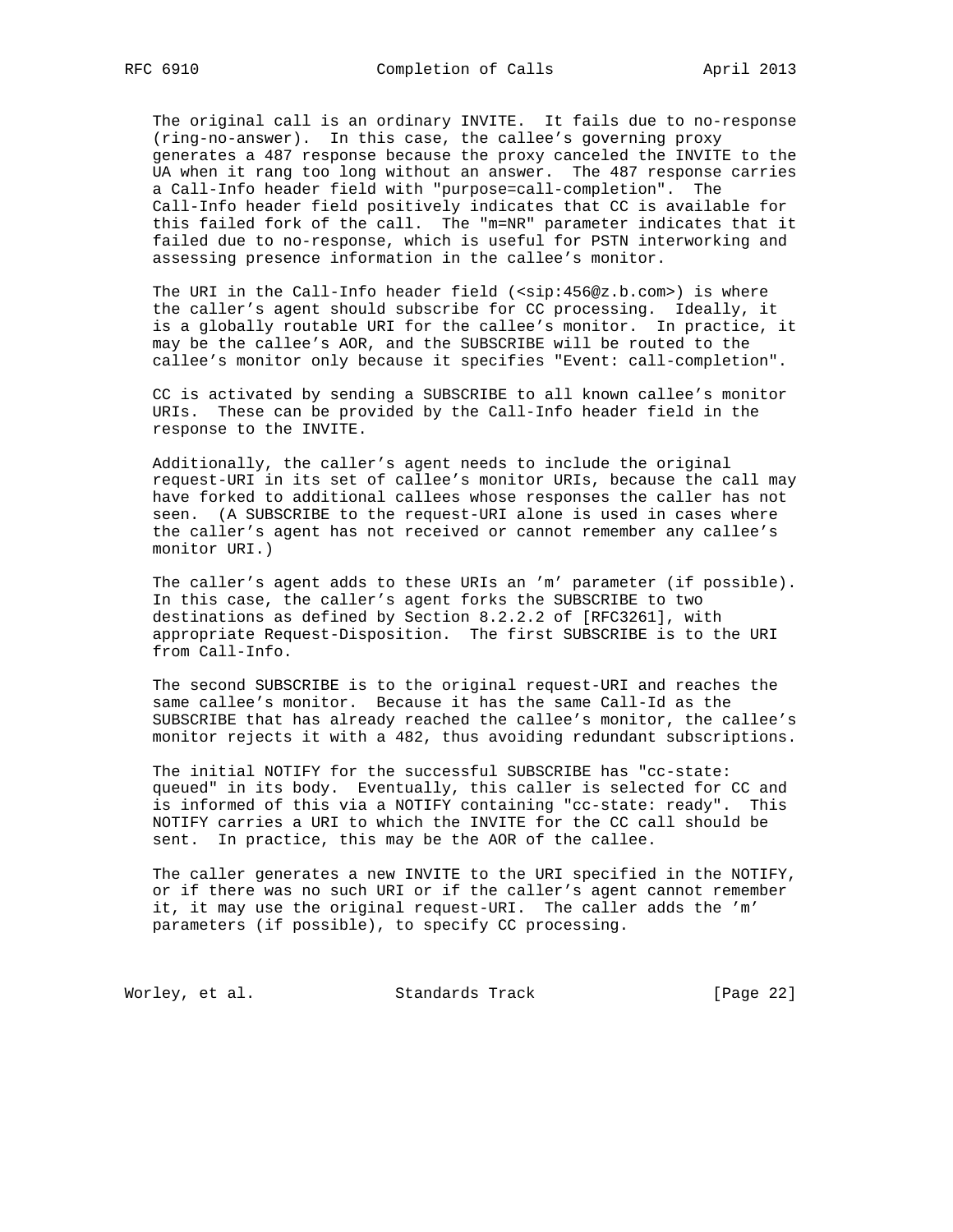The original call is an ordinary INVITE. It fails due to no-response (ring-no-answer). In this case, the callee's governing proxy generates a 487 response because the proxy canceled the INVITE to the UA when it rang too long without an answer. The 487 response carries a Call-Info header field with "purpose=call-completion". The Call-Info header field positively indicates that CC is available for this failed fork of the call. The "m=NR" parameter indicates that it failed due to no-response, which is useful for PSTN interworking and assessing presence information in the callee's monitor.

The URI in the Call-Info header field (<sip:456@z.b.com>) is where the caller's agent should subscribe for CC processing. Ideally, it is a globally routable URI for the callee's monitor. In practice, it may be the callee's AOR, and the SUBSCRIBE will be routed to the callee's monitor only because it specifies "Event: call-completion".

 CC is activated by sending a SUBSCRIBE to all known callee's monitor URIs. These can be provided by the Call-Info header field in the response to the INVITE.

 Additionally, the caller's agent needs to include the original request-URI in its set of callee's monitor URIs, because the call may have forked to additional callees whose responses the caller has not seen. (A SUBSCRIBE to the request-URI alone is used in cases where the caller's agent has not received or cannot remember any callee's monitor URI.)

 The caller's agent adds to these URIs an 'm' parameter (if possible). In this case, the caller's agent forks the SUBSCRIBE to two destinations as defined by Section 8.2.2.2 of [RFC3261], with appropriate Request-Disposition. The first SUBSCRIBE is to the URI from Call-Info.

 The second SUBSCRIBE is to the original request-URI and reaches the same callee's monitor. Because it has the same Call-Id as the SUBSCRIBE that has already reached the callee's monitor, the callee's monitor rejects it with a 482, thus avoiding redundant subscriptions.

 The initial NOTIFY for the successful SUBSCRIBE has "cc-state: queued" in its body. Eventually, this caller is selected for CC and is informed of this via a NOTIFY containing "cc-state: ready". This NOTIFY carries a URI to which the INVITE for the CC call should be sent. In practice, this may be the AOR of the callee.

 The caller generates a new INVITE to the URI specified in the NOTIFY, or if there was no such URI or if the caller's agent cannot remember it, it may use the original request-URI. The caller adds the 'm' parameters (if possible), to specify CC processing.

Worley, et al. Standards Track [Page 22]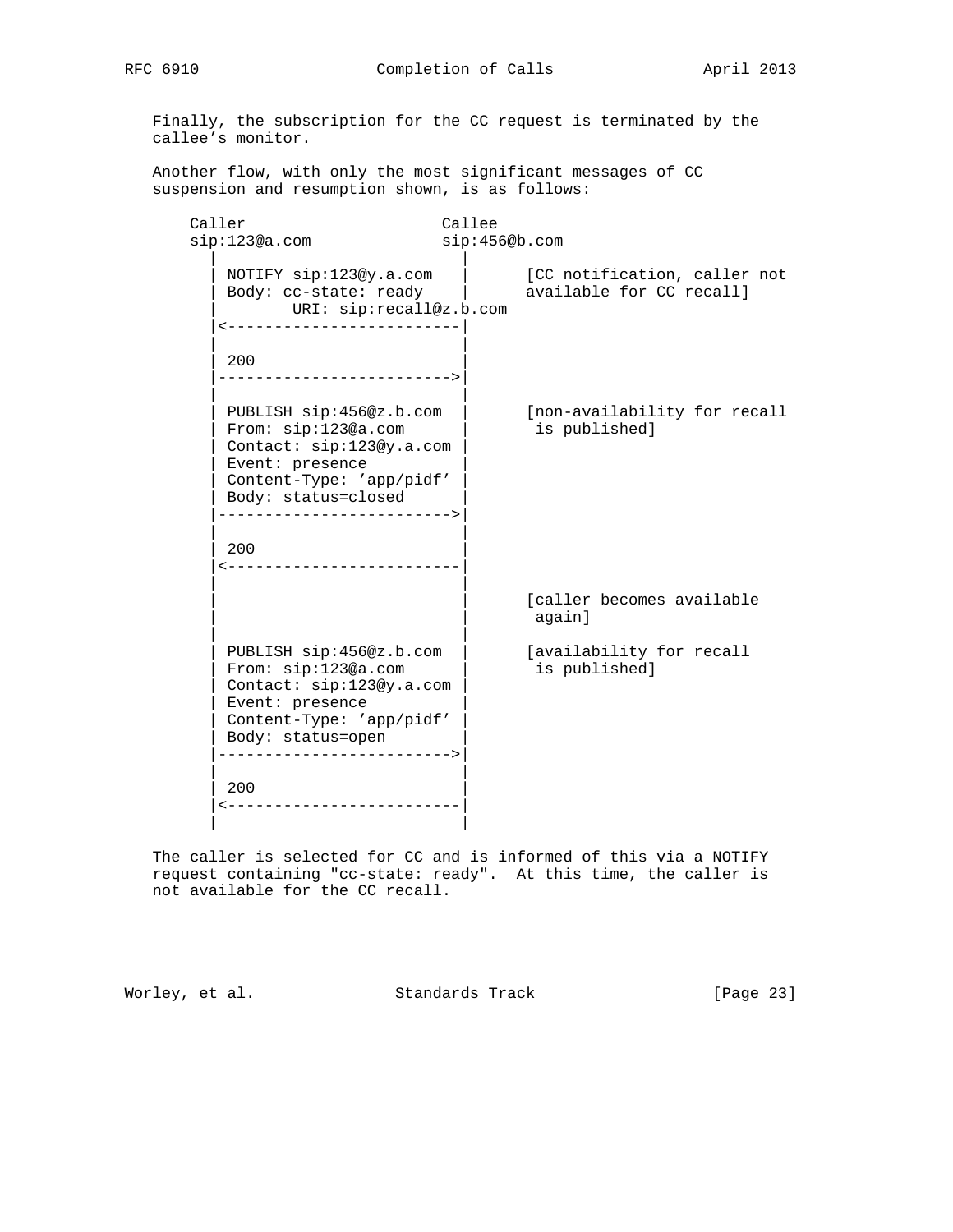Finally, the subscription for the CC request is terminated by the callee's monitor.

 Another flow, with only the most significant messages of CC suspension and resumption shown, is as follows:

Caller Callee sip:123@a.com sip:456@b.com | | | NOTIFY sip:123@y.a.com | [CC notification, caller not | Body: cc-state: ready | available for CC recall] | URI: sip:recall@z.b.com |<-------------------------| | | | 200 | |------------------------->| | | | PUBLISH sip:456@z.b.com | [non-availability for recall | From: sip:123@a.com | is published] | Contact: sip:123@y.a.com | Event: presence | Content-Type: 'app/pidf' | Body: status=closed |------------------------->| | | | 200 | |<-------------------------| | | [caller becomes available again] | | | PUBLISH sip:456@z.b.com | [availability for recall | From: sip:123@a.com | is published] | Contact: sip:123@y.a.com | Event: presence | Content-Type: 'app/pidf' | | Body: status=open | |------------------------->| | | | 200 | |<-------------------------| | |

 The caller is selected for CC and is informed of this via a NOTIFY request containing "cc-state: ready". At this time, the caller is not available for the CC recall.

Worley, et al. Standards Track [Page 23]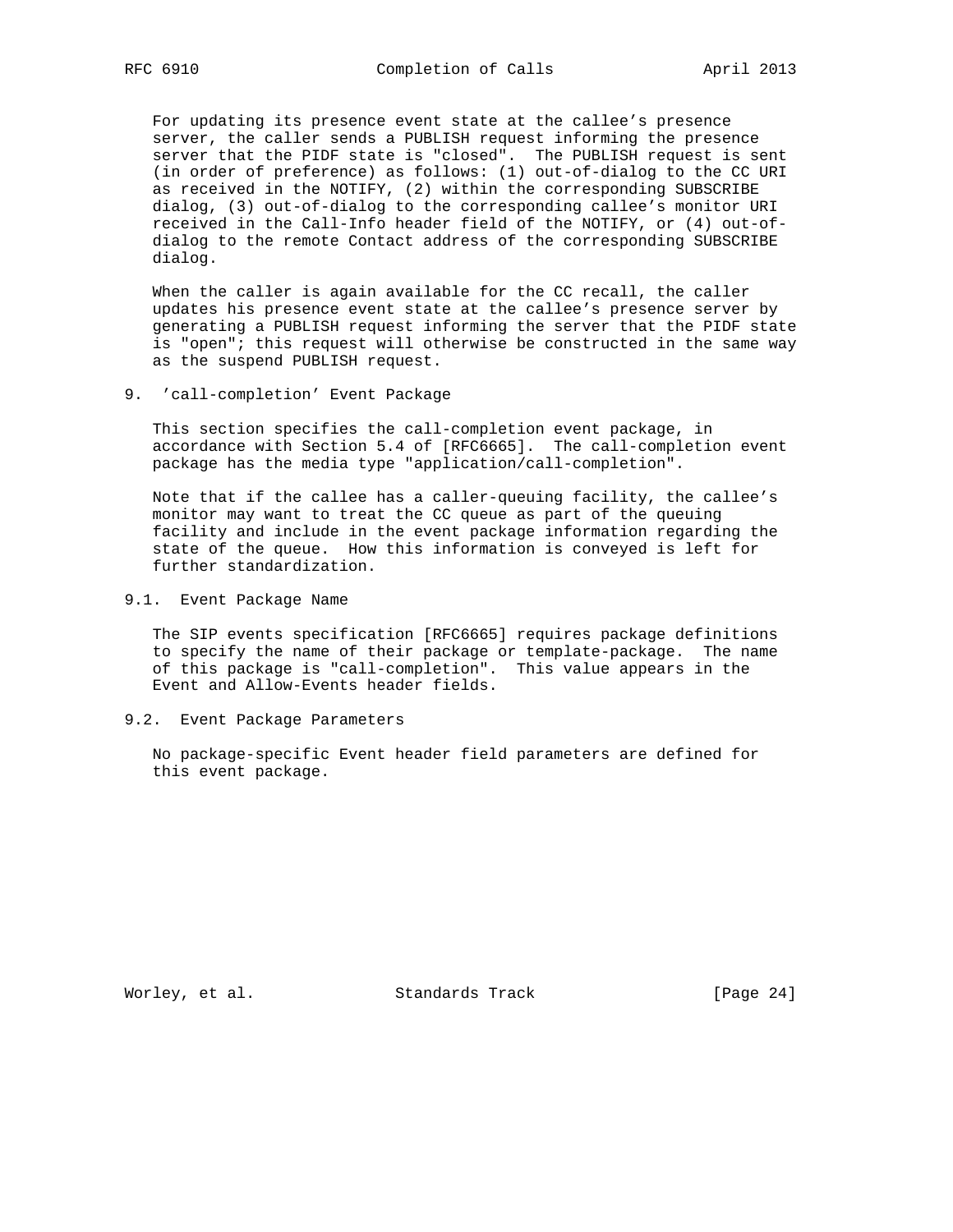For updating its presence event state at the callee's presence server, the caller sends a PUBLISH request informing the presence server that the PIDF state is "closed". The PUBLISH request is sent (in order of preference) as follows: (1) out-of-dialog to the CC URI as received in the NOTIFY, (2) within the corresponding SUBSCRIBE dialog, (3) out-of-dialog to the corresponding callee's monitor URI received in the Call-Info header field of the NOTIFY, or (4) out-of dialog to the remote Contact address of the corresponding SUBSCRIBE dialog.

 When the caller is again available for the CC recall, the caller updates his presence event state at the callee's presence server by generating a PUBLISH request informing the server that the PIDF state is "open"; this request will otherwise be constructed in the same way as the suspend PUBLISH request.

9. 'call-completion' Event Package

 This section specifies the call-completion event package, in accordance with Section 5.4 of [RFC6665]. The call-completion event package has the media type "application/call-completion".

 Note that if the callee has a caller-queuing facility, the callee's monitor may want to treat the CC queue as part of the queuing facility and include in the event package information regarding the state of the queue. How this information is conveyed is left for further standardization.

9.1. Event Package Name

 The SIP events specification [RFC6665] requires package definitions to specify the name of their package or template-package. The name of this package is "call-completion". This value appears in the Event and Allow-Events header fields.

9.2. Event Package Parameters

 No package-specific Event header field parameters are defined for this event package.

Worley, et al. Standards Track [Page 24]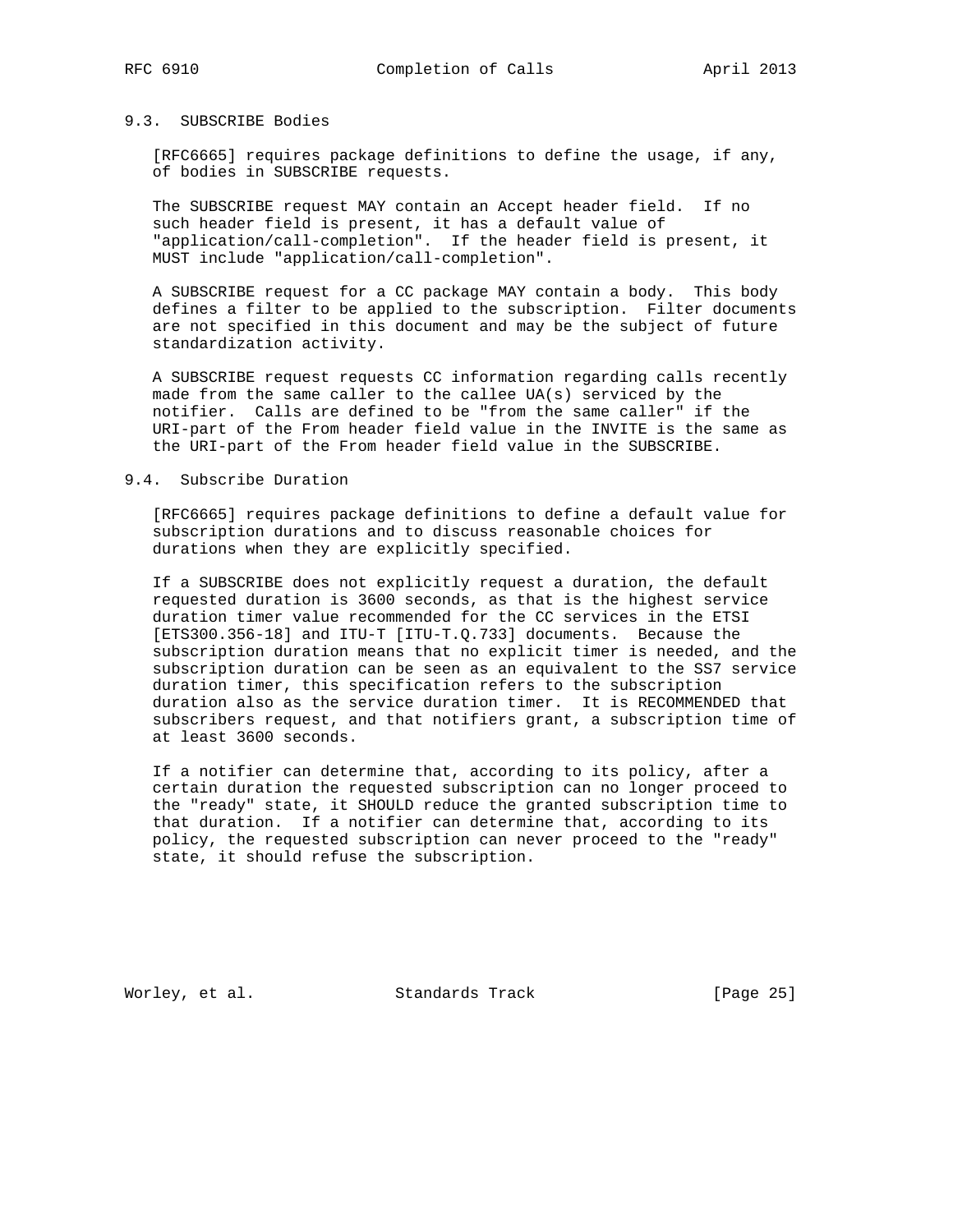# 9.3. SUBSCRIBE Bodies

 [RFC6665] requires package definitions to define the usage, if any, of bodies in SUBSCRIBE requests.

 The SUBSCRIBE request MAY contain an Accept header field. If no such header field is present, it has a default value of "application/call-completion". If the header field is present, it MUST include "application/call-completion".

 A SUBSCRIBE request for a CC package MAY contain a body. This body defines a filter to be applied to the subscription. Filter documents are not specified in this document and may be the subject of future standardization activity.

 A SUBSCRIBE request requests CC information regarding calls recently made from the same caller to the callee UA(s) serviced by the notifier. Calls are defined to be "from the same caller" if the URI-part of the From header field value in the INVITE is the same as the URI-part of the From header field value in the SUBSCRIBE.

### 9.4. Subscribe Duration

 [RFC6665] requires package definitions to define a default value for subscription durations and to discuss reasonable choices for durations when they are explicitly specified.

 If a SUBSCRIBE does not explicitly request a duration, the default requested duration is 3600 seconds, as that is the highest service duration timer value recommended for the CC services in the ETSI [ETS300.356-18] and ITU-T [ITU-T.Q.733] documents. Because the subscription duration means that no explicit timer is needed, and the subscription duration can be seen as an equivalent to the SS7 service duration timer, this specification refers to the subscription duration also as the service duration timer. It is RECOMMENDED that subscribers request, and that notifiers grant, a subscription time of at least 3600 seconds.

 If a notifier can determine that, according to its policy, after a certain duration the requested subscription can no longer proceed to the "ready" state, it SHOULD reduce the granted subscription time to that duration. If a notifier can determine that, according to its policy, the requested subscription can never proceed to the "ready" state, it should refuse the subscription.

Worley, et al. Standards Track [Page 25]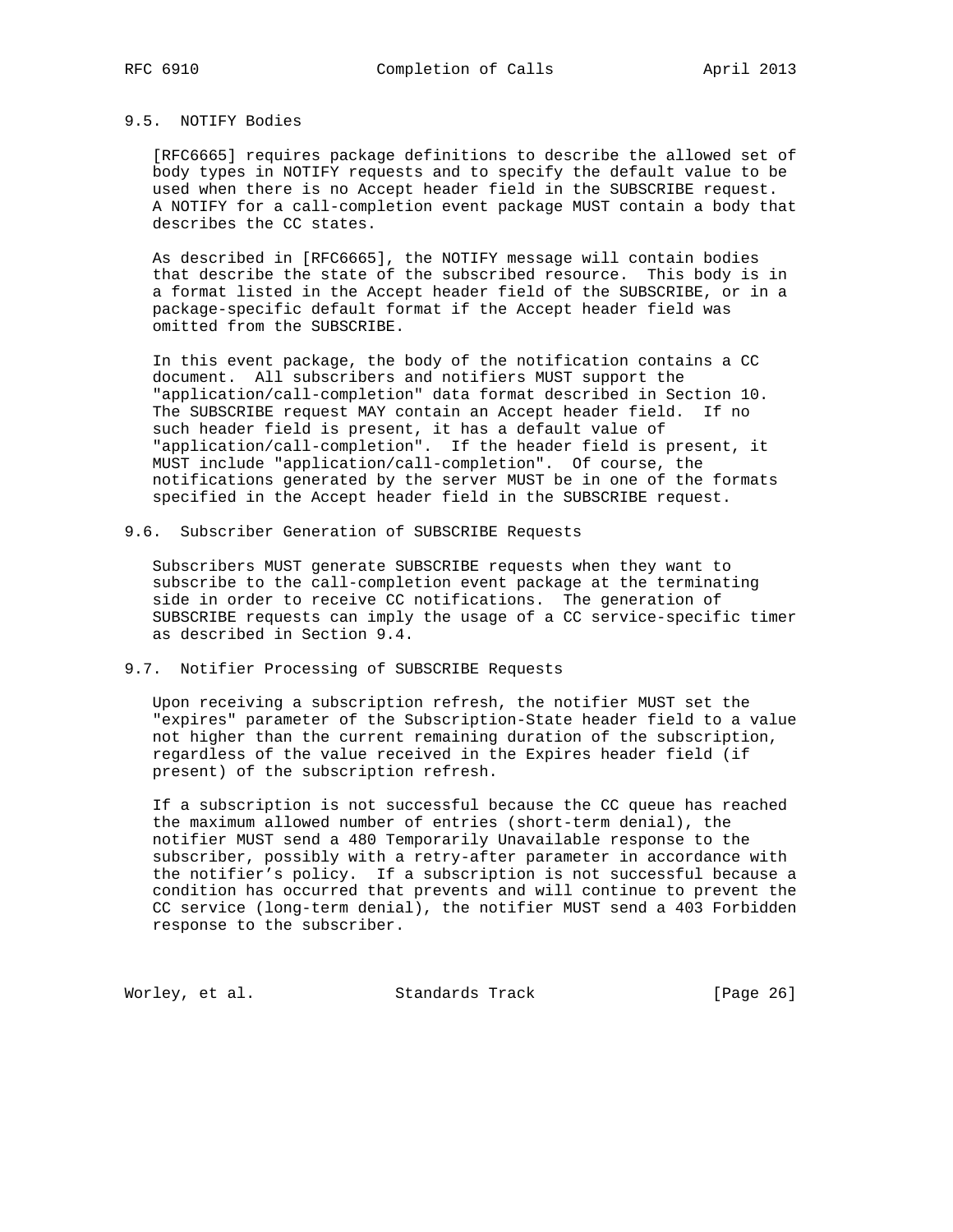# 9.5. NOTIFY Bodies

 [RFC6665] requires package definitions to describe the allowed set of body types in NOTIFY requests and to specify the default value to be used when there is no Accept header field in the SUBSCRIBE request. A NOTIFY for a call-completion event package MUST contain a body that describes the CC states.

 As described in [RFC6665], the NOTIFY message will contain bodies that describe the state of the subscribed resource. This body is in a format listed in the Accept header field of the SUBSCRIBE, or in a package-specific default format if the Accept header field was omitted from the SUBSCRIBE.

 In this event package, the body of the notification contains a CC document. All subscribers and notifiers MUST support the "application/call-completion" data format described in Section 10. The SUBSCRIBE request MAY contain an Accept header field. If no such header field is present, it has a default value of "application/call-completion". If the header field is present, it MUST include "application/call-completion". Of course, the notifications generated by the server MUST be in one of the formats specified in the Accept header field in the SUBSCRIBE request.

9.6. Subscriber Generation of SUBSCRIBE Requests

 Subscribers MUST generate SUBSCRIBE requests when they want to subscribe to the call-completion event package at the terminating side in order to receive CC notifications. The generation of SUBSCRIBE requests can imply the usage of a CC service-specific timer as described in Section 9.4.

### 9.7. Notifier Processing of SUBSCRIBE Requests

 Upon receiving a subscription refresh, the notifier MUST set the "expires" parameter of the Subscription-State header field to a value not higher than the current remaining duration of the subscription, regardless of the value received in the Expires header field (if present) of the subscription refresh.

 If a subscription is not successful because the CC queue has reached the maximum allowed number of entries (short-term denial), the notifier MUST send a 480 Temporarily Unavailable response to the subscriber, possibly with a retry-after parameter in accordance with the notifier's policy. If a subscription is not successful because a condition has occurred that prevents and will continue to prevent the CC service (long-term denial), the notifier MUST send a 403 Forbidden response to the subscriber.

Worley, et al. Standards Track [Page 26]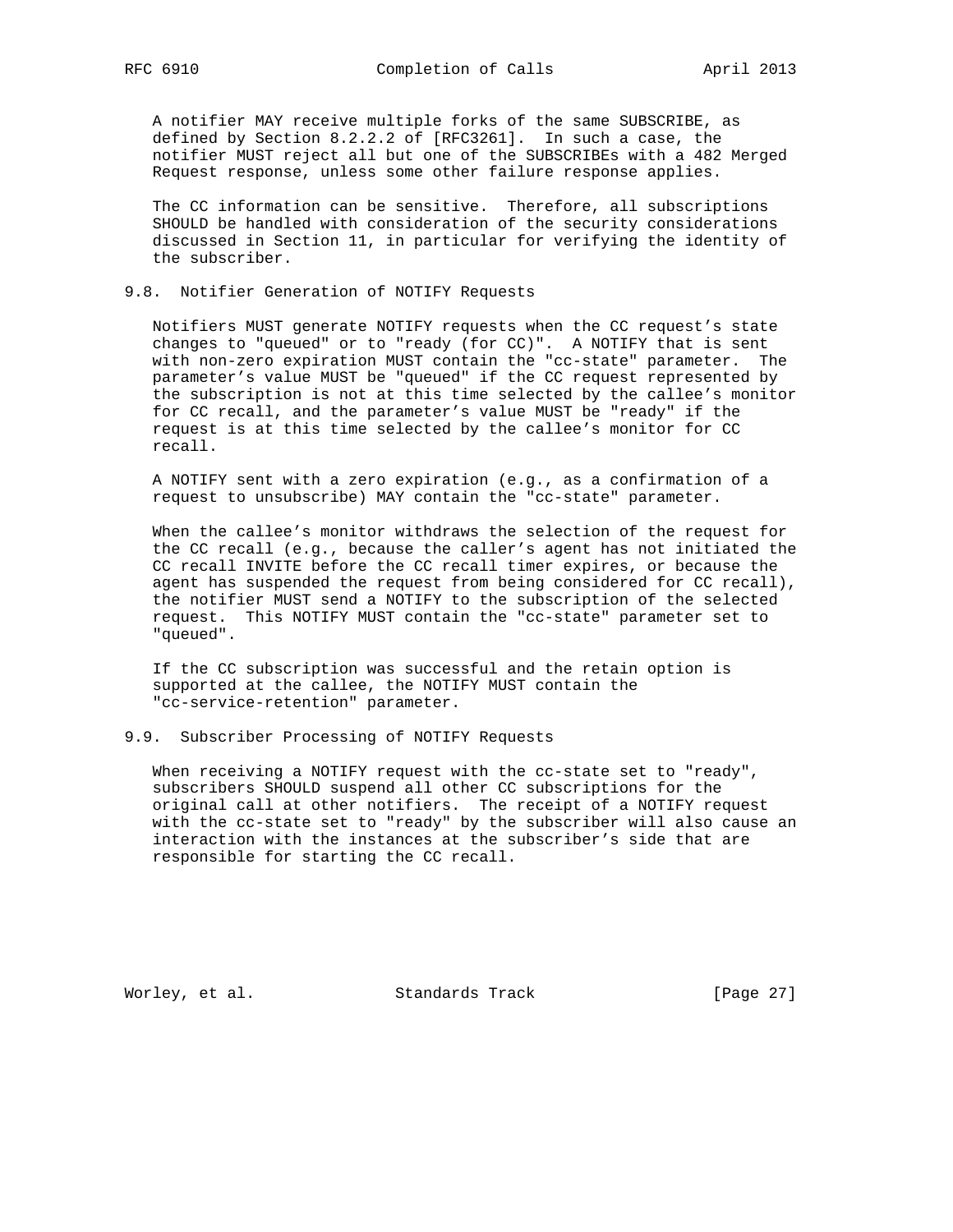A notifier MAY receive multiple forks of the same SUBSCRIBE, as defined by Section 8.2.2.2 of [RFC3261]. In such a case, the notifier MUST reject all but one of the SUBSCRIBEs with a 482 Merged Request response, unless some other failure response applies.

 The CC information can be sensitive. Therefore, all subscriptions SHOULD be handled with consideration of the security considerations discussed in Section 11, in particular for verifying the identity of the subscriber.

## 9.8. Notifier Generation of NOTIFY Requests

 Notifiers MUST generate NOTIFY requests when the CC request's state changes to "queued" or to "ready (for CC)". A NOTIFY that is sent with non-zero expiration MUST contain the "cc-state" parameter. The parameter's value MUST be "queued" if the CC request represented by the subscription is not at this time selected by the callee's monitor for CC recall, and the parameter's value MUST be "ready" if the request is at this time selected by the callee's monitor for CC recall.

 A NOTIFY sent with a zero expiration (e.g., as a confirmation of a request to unsubscribe) MAY contain the "cc-state" parameter.

 When the callee's monitor withdraws the selection of the request for the CC recall (e.g., because the caller's agent has not initiated the CC recall INVITE before the CC recall timer expires, or because the agent has suspended the request from being considered for CC recall), the notifier MUST send a NOTIFY to the subscription of the selected request. This NOTIFY MUST contain the "cc-state" parameter set to "queued".

 If the CC subscription was successful and the retain option is supported at the callee, the NOTIFY MUST contain the "cc-service-retention" parameter.

9.9. Subscriber Processing of NOTIFY Requests

 When receiving a NOTIFY request with the cc-state set to "ready", subscribers SHOULD suspend all other CC subscriptions for the original call at other notifiers. The receipt of a NOTIFY request with the cc-state set to "ready" by the subscriber will also cause an interaction with the instances at the subscriber's side that are responsible for starting the CC recall.

Worley, et al. Standards Track [Page 27]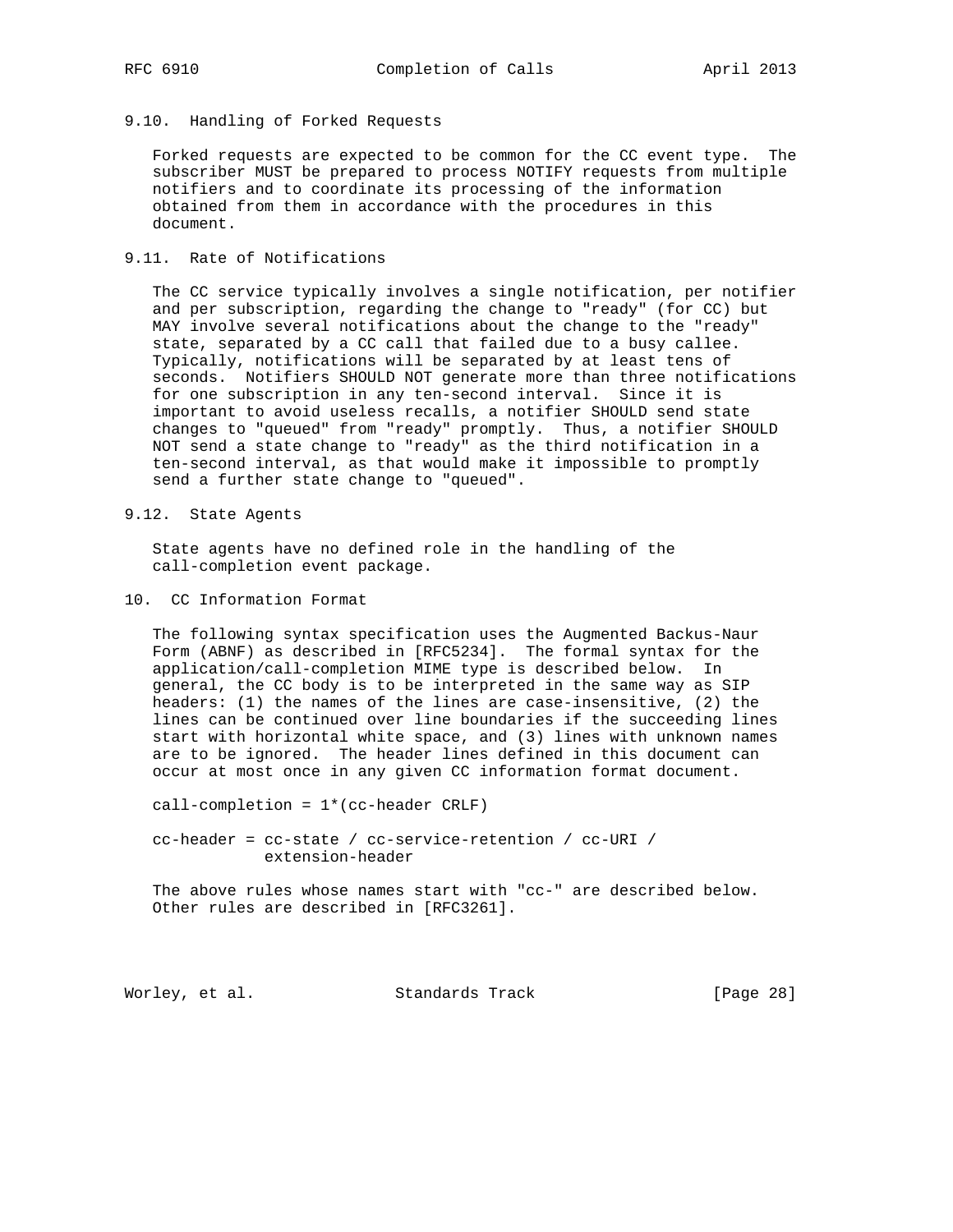## 9.10. Handling of Forked Requests

 Forked requests are expected to be common for the CC event type. The subscriber MUST be prepared to process NOTIFY requests from multiple notifiers and to coordinate its processing of the information obtained from them in accordance with the procedures in this document.

# 9.11. Rate of Notifications

 The CC service typically involves a single notification, per notifier and per subscription, regarding the change to "ready" (for CC) but MAY involve several notifications about the change to the "ready" state, separated by a CC call that failed due to a busy callee. Typically, notifications will be separated by at least tens of seconds. Notifiers SHOULD NOT generate more than three notifications for one subscription in any ten-second interval. Since it is important to avoid useless recalls, a notifier SHOULD send state changes to "queued" from "ready" promptly. Thus, a notifier SHOULD NOT send a state change to "ready" as the third notification in a ten-second interval, as that would make it impossible to promptly send a further state change to "queued".

9.12. State Agents

 State agents have no defined role in the handling of the call-completion event package.

10. CC Information Format

 The following syntax specification uses the Augmented Backus-Naur Form (ABNF) as described in [RFC5234]. The formal syntax for the application/call-completion MIME type is described below. In general, the CC body is to be interpreted in the same way as SIP headers: (1) the names of the lines are case-insensitive, (2) the lines can be continued over line boundaries if the succeeding lines start with horizontal white space, and (3) lines with unknown names are to be ignored. The header lines defined in this document can occur at most once in any given CC information format document.

call-completion = 1\*(cc-header CRLF)

 cc-header = cc-state / cc-service-retention / cc-URI / extension-header

 The above rules whose names start with "cc-" are described below. Other rules are described in [RFC3261].

Worley, et al. Standards Track [Page 28]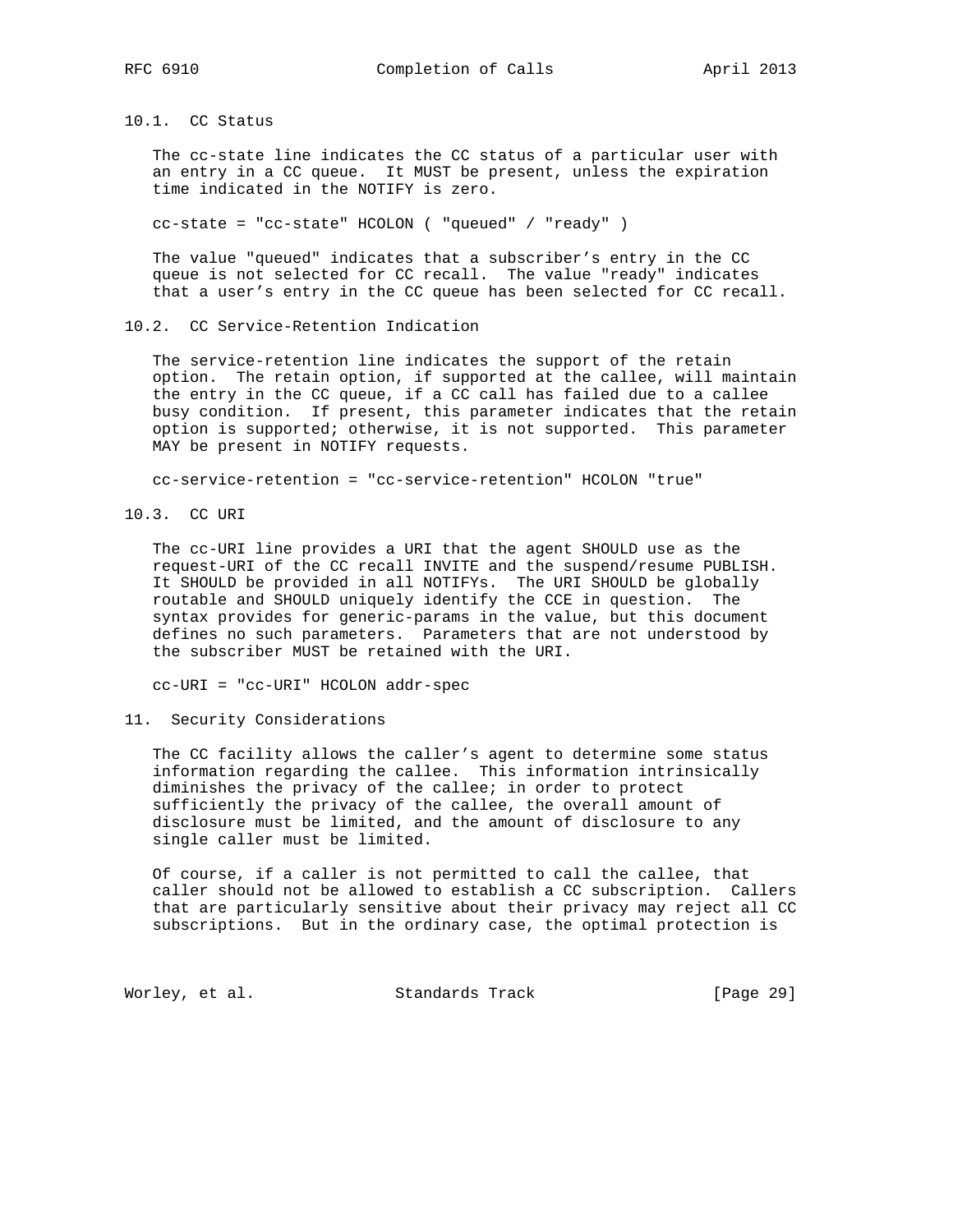10.1. CC Status

 The cc-state line indicates the CC status of a particular user with an entry in a CC queue. It MUST be present, unless the expiration time indicated in the NOTIFY is zero.

cc-state = "cc-state" HCOLON ( "queued" / "ready" )

 The value "queued" indicates that a subscriber's entry in the CC queue is not selected for CC recall. The value "ready" indicates that a user's entry in the CC queue has been selected for CC recall.

10.2. CC Service-Retention Indication

 The service-retention line indicates the support of the retain option. The retain option, if supported at the callee, will maintain the entry in the CC queue, if a CC call has failed due to a callee busy condition. If present, this parameter indicates that the retain option is supported; otherwise, it is not supported. This parameter MAY be present in NOTIFY requests.

cc-service-retention = "cc-service-retention" HCOLON "true"

10.3. CC URI

 The cc-URI line provides a URI that the agent SHOULD use as the request-URI of the CC recall INVITE and the suspend/resume PUBLISH. It SHOULD be provided in all NOTIFYs. The URI SHOULD be globally routable and SHOULD uniquely identify the CCE in question. The syntax provides for generic-params in the value, but this document defines no such parameters. Parameters that are not understood by the subscriber MUST be retained with the URI.

cc-URI = "cc-URI" HCOLON addr-spec

11. Security Considerations

 The CC facility allows the caller's agent to determine some status information regarding the callee. This information intrinsically diminishes the privacy of the callee; in order to protect sufficiently the privacy of the callee, the overall amount of disclosure must be limited, and the amount of disclosure to any single caller must be limited.

 Of course, if a caller is not permitted to call the callee, that caller should not be allowed to establish a CC subscription. Callers that are particularly sensitive about their privacy may reject all CC subscriptions. But in the ordinary case, the optimal protection is

Worley, et al. Standards Track [Page 29]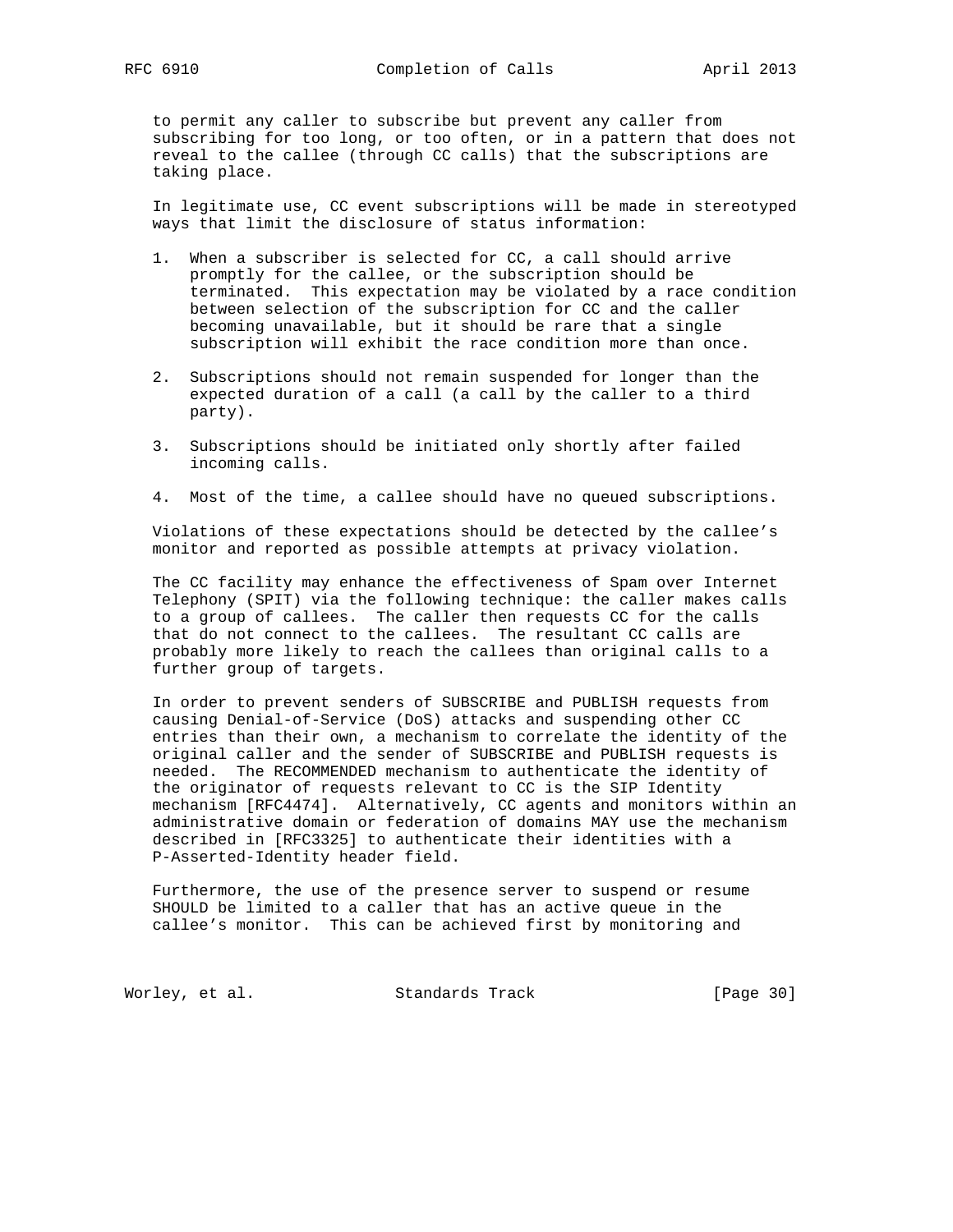to permit any caller to subscribe but prevent any caller from subscribing for too long, or too often, or in a pattern that does not reveal to the callee (through CC calls) that the subscriptions are taking place.

 In legitimate use, CC event subscriptions will be made in stereotyped ways that limit the disclosure of status information:

- 1. When a subscriber is selected for CC, a call should arrive promptly for the callee, or the subscription should be terminated. This expectation may be violated by a race condition between selection of the subscription for CC and the caller becoming unavailable, but it should be rare that a single subscription will exhibit the race condition more than once.
- 2. Subscriptions should not remain suspended for longer than the expected duration of a call (a call by the caller to a third party).
- 3. Subscriptions should be initiated only shortly after failed incoming calls.
- 4. Most of the time, a callee should have no queued subscriptions.

 Violations of these expectations should be detected by the callee's monitor and reported as possible attempts at privacy violation.

 The CC facility may enhance the effectiveness of Spam over Internet Telephony (SPIT) via the following technique: the caller makes calls to a group of callees. The caller then requests CC for the calls that do not connect to the callees. The resultant CC calls are probably more likely to reach the callees than original calls to a further group of targets.

 In order to prevent senders of SUBSCRIBE and PUBLISH requests from causing Denial-of-Service (DoS) attacks and suspending other CC entries than their own, a mechanism to correlate the identity of the original caller and the sender of SUBSCRIBE and PUBLISH requests is needed. The RECOMMENDED mechanism to authenticate the identity of the originator of requests relevant to CC is the SIP Identity mechanism [RFC4474]. Alternatively, CC agents and monitors within an administrative domain or federation of domains MAY use the mechanism described in [RFC3325] to authenticate their identities with a P-Asserted-Identity header field.

 Furthermore, the use of the presence server to suspend or resume SHOULD be limited to a caller that has an active queue in the callee's monitor. This can be achieved first by monitoring and

Worley, et al. Standards Track [Page 30]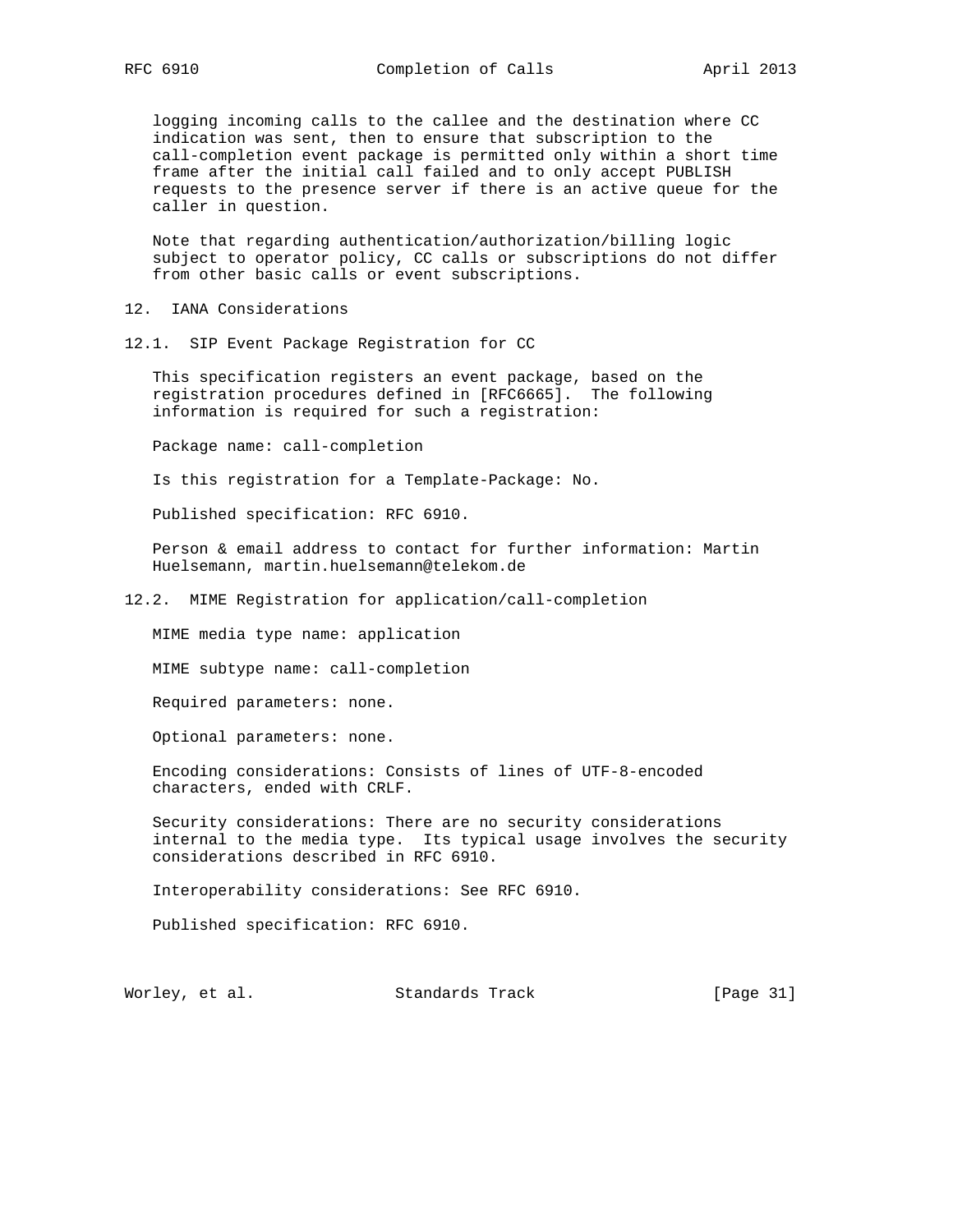logging incoming calls to the callee and the destination where CC indication was sent, then to ensure that subscription to the call-completion event package is permitted only within a short time frame after the initial call failed and to only accept PUBLISH requests to the presence server if there is an active queue for the caller in question.

 Note that regarding authentication/authorization/billing logic subject to operator policy, CC calls or subscriptions do not differ from other basic calls or event subscriptions.

- 12. IANA Considerations
- 12.1. SIP Event Package Registration for CC

 This specification registers an event package, based on the registration procedures defined in [RFC6665]. The following information is required for such a registration:

Package name: call-completion

Is this registration for a Template-Package: No.

Published specification: RFC 6910.

 Person & email address to contact for further information: Martin Huelsemann, martin.huelsemann@telekom.de

12.2. MIME Registration for application/call-completion

MIME media type name: application

MIME subtype name: call-completion

Required parameters: none.

Optional parameters: none.

 Encoding considerations: Consists of lines of UTF-8-encoded characters, ended with CRLF.

 Security considerations: There are no security considerations internal to the media type. Its typical usage involves the security considerations described in RFC 6910.

Interoperability considerations: See RFC 6910.

Published specification: RFC 6910.

Worley, et al. Standards Track [Page 31]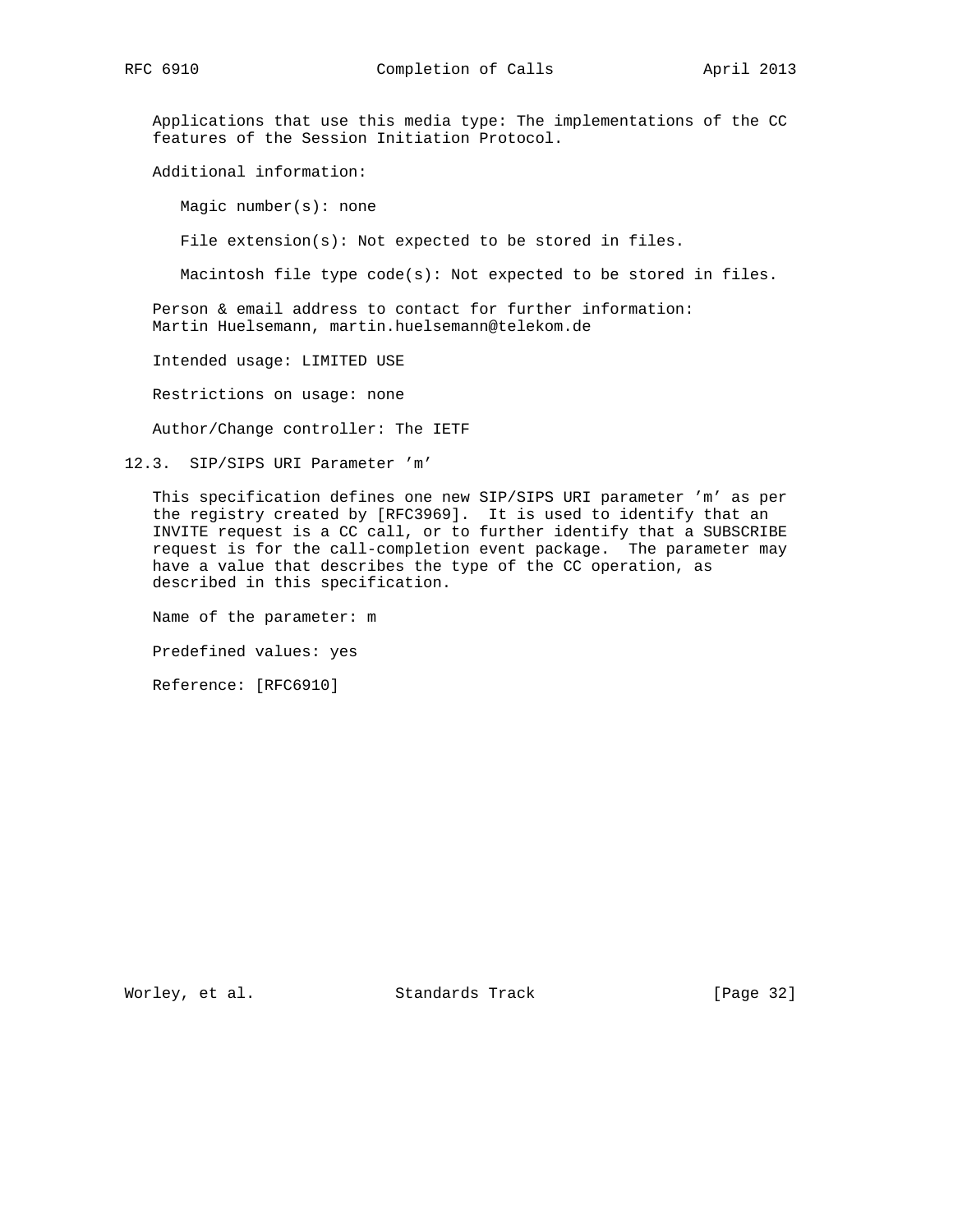Applications that use this media type: The implementations of the CC features of the Session Initiation Protocol.

Additional information:

Magic number(s): none

File extension(s): Not expected to be stored in files.

Macintosh file type code(s): Not expected to be stored in files.

 Person & email address to contact for further information: Martin Huelsemann, martin.huelsemann@telekom.de

Intended usage: LIMITED USE

Restrictions on usage: none

Author/Change controller: The IETF

12.3. SIP/SIPS URI Parameter 'm'

 This specification defines one new SIP/SIPS URI parameter 'm' as per the registry created by [RFC3969]. It is used to identify that an INVITE request is a CC call, or to further identify that a SUBSCRIBE request is for the call-completion event package. The parameter may have a value that describes the type of the CC operation, as described in this specification.

Name of the parameter: m

Predefined values: yes

Reference: [RFC6910]

Worley, et al. Standards Track [Page 32]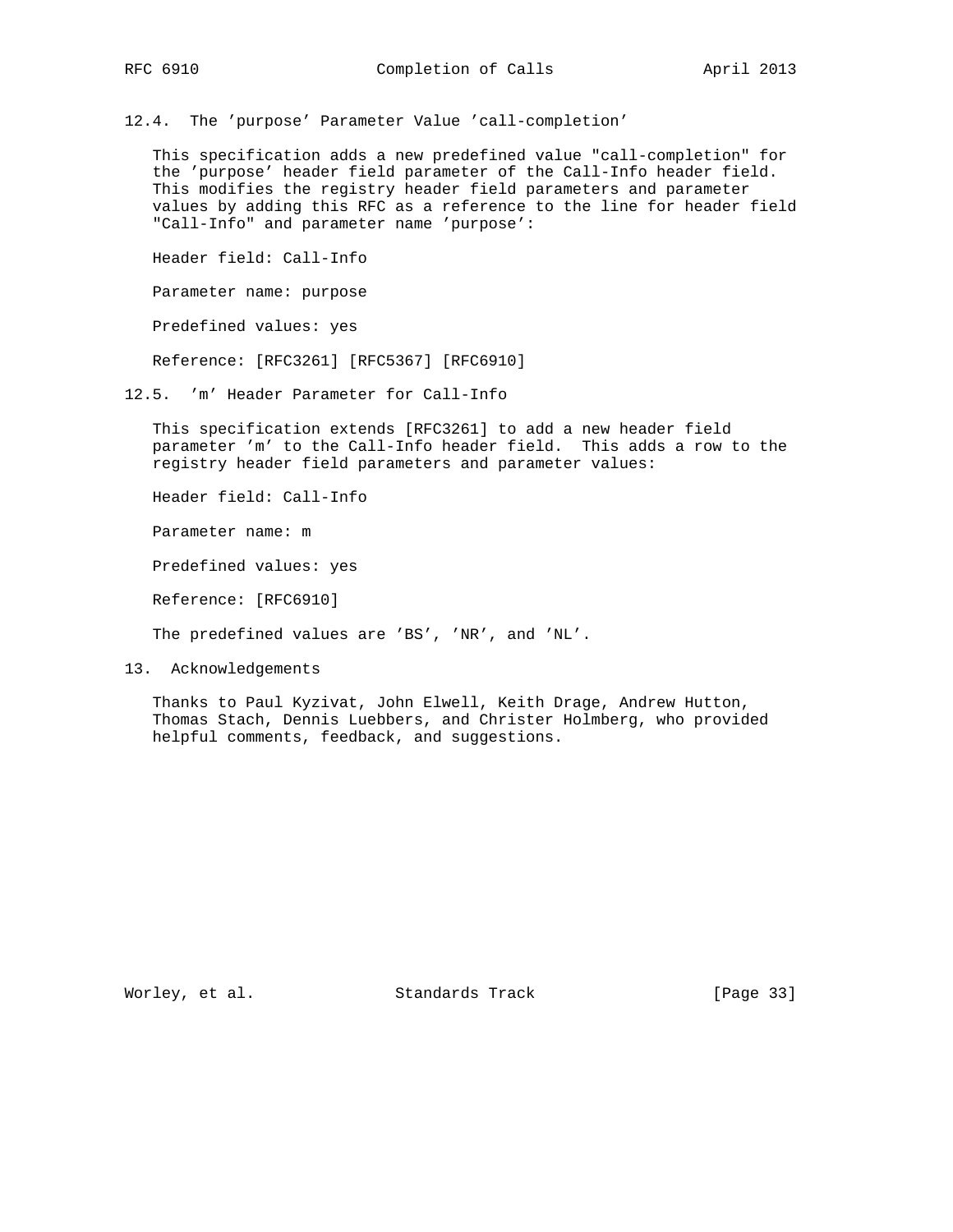12.4. The 'purpose' Parameter Value 'call-completion'

 This specification adds a new predefined value "call-completion" for the 'purpose' header field parameter of the Call-Info header field. This modifies the registry header field parameters and parameter values by adding this RFC as a reference to the line for header field "Call-Info" and parameter name 'purpose':

Header field: Call-Info

Parameter name: purpose

Predefined values: yes

Reference: [RFC3261] [RFC5367] [RFC6910]

12.5. 'm' Header Parameter for Call-Info

 This specification extends [RFC3261] to add a new header field parameter 'm' to the Call-Info header field. This adds a row to the registry header field parameters and parameter values:

Header field: Call-Info

Parameter name: m

Predefined values: yes

Reference: [RFC6910]

The predefined values are 'BS', 'NR', and 'NL'.

13. Acknowledgements

 Thanks to Paul Kyzivat, John Elwell, Keith Drage, Andrew Hutton, Thomas Stach, Dennis Luebbers, and Christer Holmberg, who provided helpful comments, feedback, and suggestions.

Worley, et al. Standards Track [Page 33]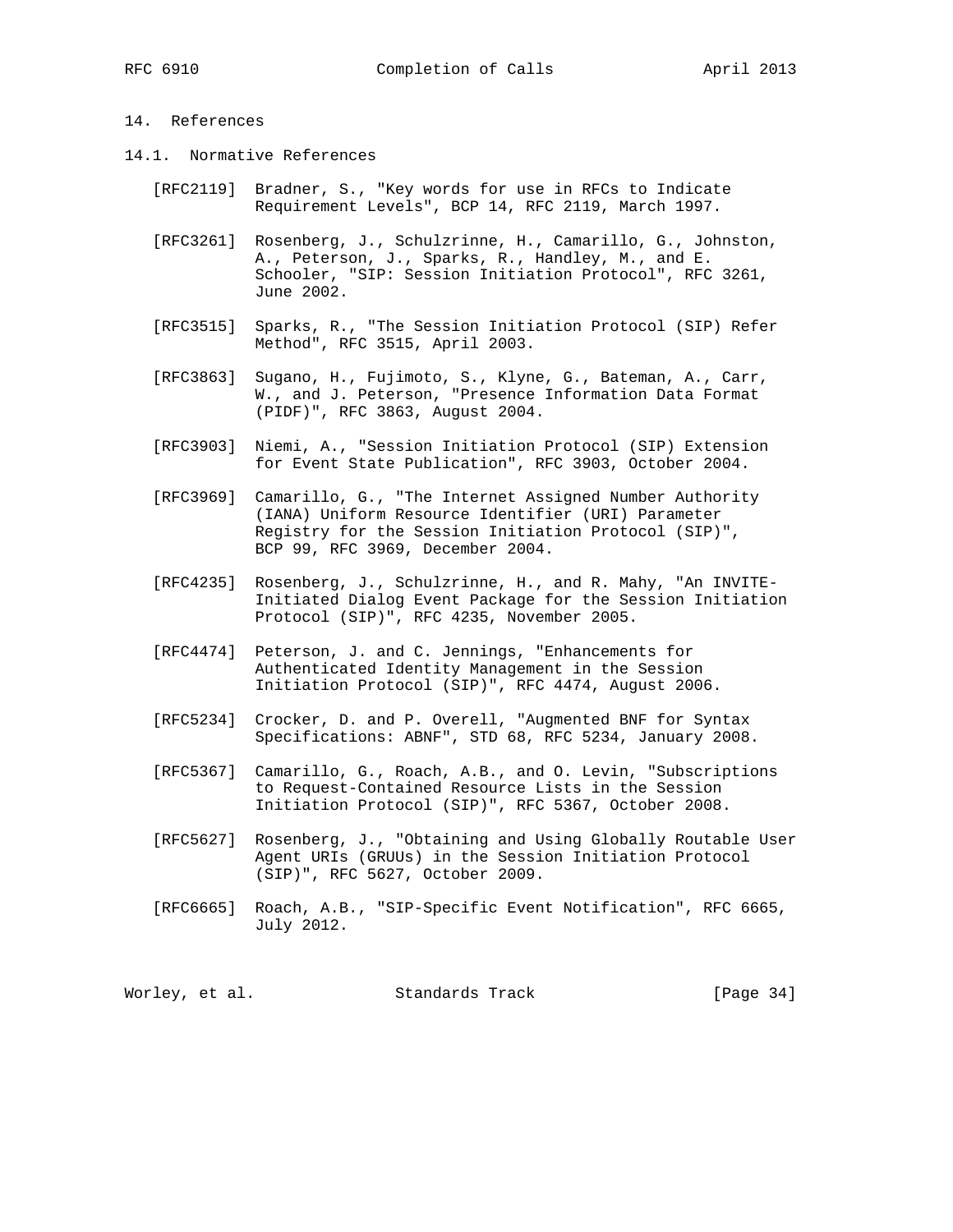# 14. References

- 14.1. Normative References
	- [RFC2119] Bradner, S., "Key words for use in RFCs to Indicate Requirement Levels", BCP 14, RFC 2119, March 1997.
	- [RFC3261] Rosenberg, J., Schulzrinne, H., Camarillo, G., Johnston, A., Peterson, J., Sparks, R., Handley, M., and E. Schooler, "SIP: Session Initiation Protocol", RFC 3261, June 2002.
	- [RFC3515] Sparks, R., "The Session Initiation Protocol (SIP) Refer Method", RFC 3515, April 2003.
	- [RFC3863] Sugano, H., Fujimoto, S., Klyne, G., Bateman, A., Carr, W., and J. Peterson, "Presence Information Data Format (PIDF)", RFC 3863, August 2004.
	- [RFC3903] Niemi, A., "Session Initiation Protocol (SIP) Extension for Event State Publication", RFC 3903, October 2004.
	- [RFC3969] Camarillo, G., "The Internet Assigned Number Authority (IANA) Uniform Resource Identifier (URI) Parameter Registry for the Session Initiation Protocol (SIP)", BCP 99, RFC 3969, December 2004.
	- [RFC4235] Rosenberg, J., Schulzrinne, H., and R. Mahy, "An INVITE- Initiated Dialog Event Package for the Session Initiation Protocol (SIP)", RFC 4235, November 2005.
	- [RFC4474] Peterson, J. and C. Jennings, "Enhancements for Authenticated Identity Management in the Session Initiation Protocol (SIP)", RFC 4474, August 2006.
	- [RFC5234] Crocker, D. and P. Overell, "Augmented BNF for Syntax Specifications: ABNF", STD 68, RFC 5234, January 2008.
	- [RFC5367] Camarillo, G., Roach, A.B., and O. Levin, "Subscriptions to Request-Contained Resource Lists in the Session Initiation Protocol (SIP)", RFC 5367, October 2008.
	- [RFC5627] Rosenberg, J., "Obtaining and Using Globally Routable User Agent URIs (GRUUs) in the Session Initiation Protocol (SIP)", RFC 5627, October 2009.
	- [RFC6665] Roach, A.B., "SIP-Specific Event Notification", RFC 6665, July 2012.

| Worley, et al. | Standards Track | [Page $34$ ] |
|----------------|-----------------|--------------|
|----------------|-----------------|--------------|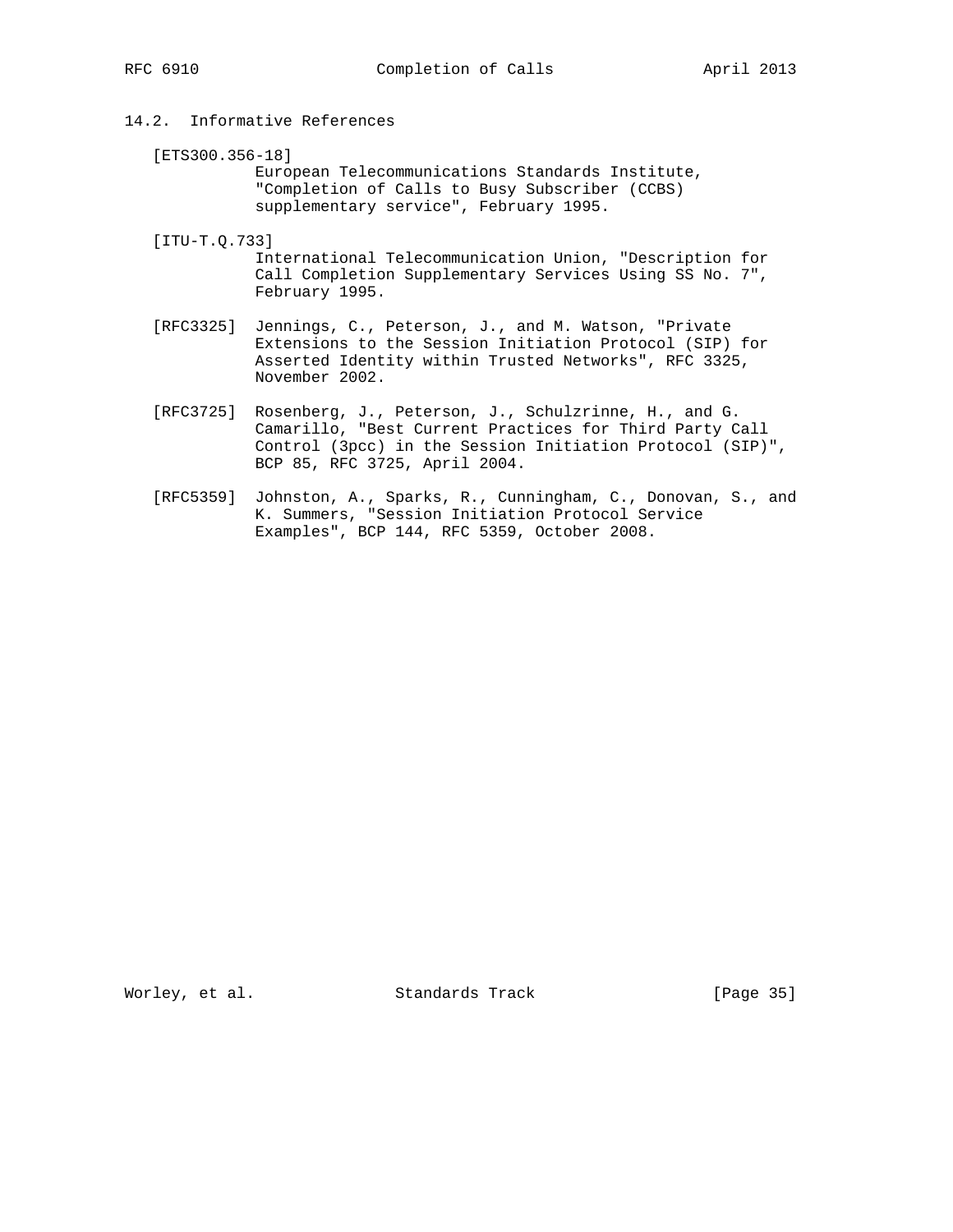# 14.2. Informative References

[ETS300.356-18]

 European Telecommunications Standards Institute, "Completion of Calls to Busy Subscriber (CCBS) supplementary service", February 1995.

[ITU-T.Q.733]

 International Telecommunication Union, "Description for Call Completion Supplementary Services Using SS No. 7", February 1995.

- [RFC3325] Jennings, C., Peterson, J., and M. Watson, "Private Extensions to the Session Initiation Protocol (SIP) for Asserted Identity within Trusted Networks", RFC 3325, November 2002.
- [RFC3725] Rosenberg, J., Peterson, J., Schulzrinne, H., and G. Camarillo, "Best Current Practices for Third Party Call Control (3pcc) in the Session Initiation Protocol (SIP)", BCP 85, RFC 3725, April 2004.
- [RFC5359] Johnston, A., Sparks, R., Cunningham, C., Donovan, S., and K. Summers, "Session Initiation Protocol Service Examples", BCP 144, RFC 5359, October 2008.

Worley, et al. Standards Track [Page 35]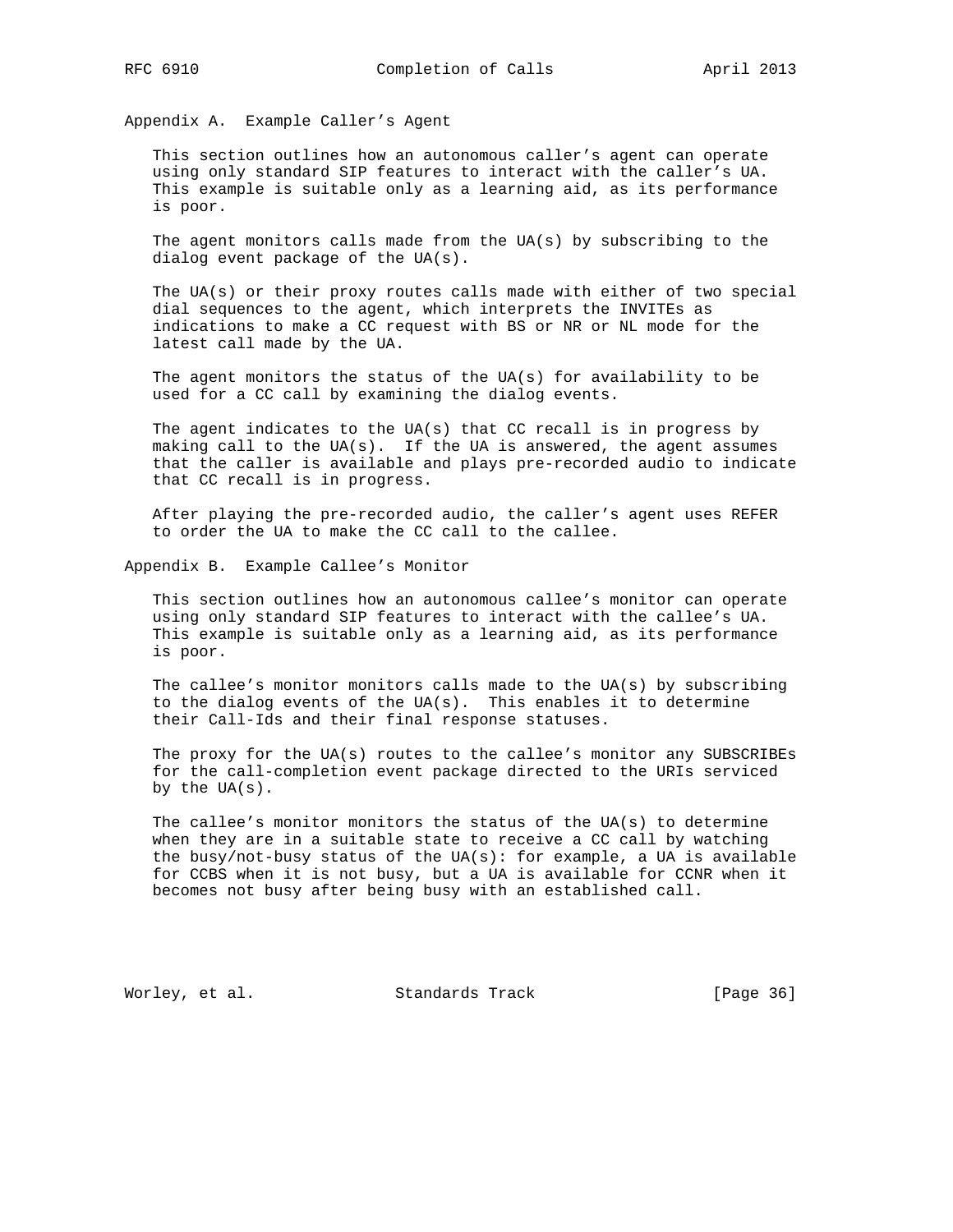Appendix A. Example Caller's Agent

 This section outlines how an autonomous caller's agent can operate using only standard SIP features to interact with the caller's UA. This example is suitable only as a learning aid, as its performance is poor.

 The agent monitors calls made from the UA(s) by subscribing to the dialog event package of the UA(s).

 The UA(s) or their proxy routes calls made with either of two special dial sequences to the agent, which interprets the INVITEs as indications to make a CC request with BS or NR or NL mode for the latest call made by the UA.

 The agent monitors the status of the UA(s) for availability to be used for a CC call by examining the dialog events.

 The agent indicates to the UA(s) that CC recall is in progress by making call to the UA(s). If the UA is answered, the agent assumes that the caller is available and plays pre-recorded audio to indicate that CC recall is in progress.

 After playing the pre-recorded audio, the caller's agent uses REFER to order the UA to make the CC call to the callee.

Appendix B. Example Callee's Monitor

 This section outlines how an autonomous callee's monitor can operate using only standard SIP features to interact with the callee's UA. This example is suitable only as a learning aid, as its performance is poor.

 The callee's monitor monitors calls made to the UA(s) by subscribing to the dialog events of the  $UA(s)$ . This enables it to determine their Call-Ids and their final response statuses.

 The proxy for the UA(s) routes to the callee's monitor any SUBSCRIBEs for the call-completion event package directed to the URIs serviced by the UA(s).

 The callee's monitor monitors the status of the UA(s) to determine when they are in a suitable state to receive a CC call by watching the busy/not-busy status of the  $UA(s)$ : for example, a UA is available for CCBS when it is not busy, but a UA is available for CCNR when it becomes not busy after being busy with an established call.

Worley, et al. Standards Track [Page 36]